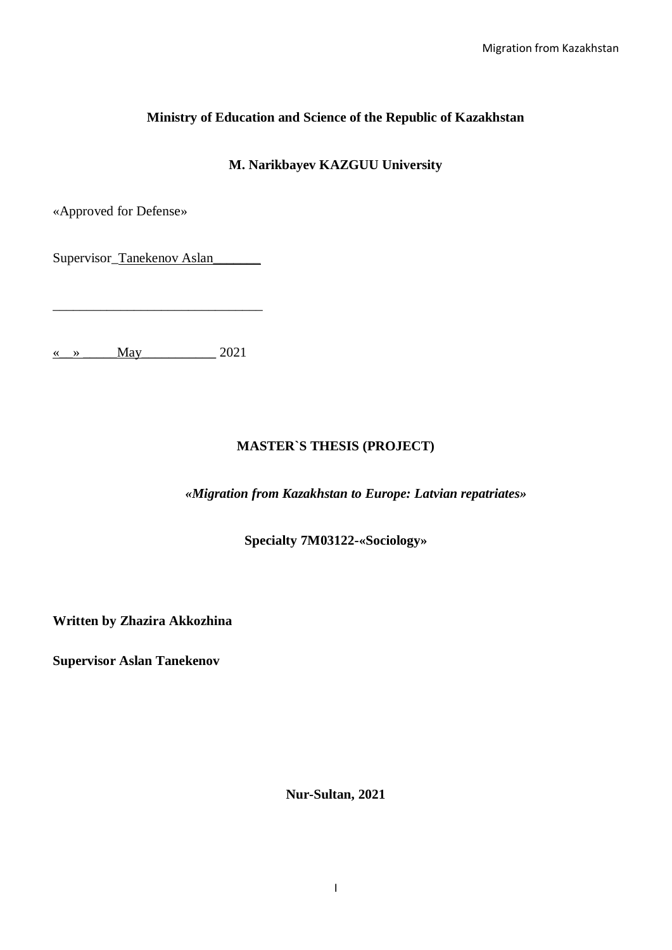# **Ministry of Education and Science of the Republic of Kazakhstan**

**M. Narikbayev KAZGUU University**

«Approved for Defense»

Supervisor\_Tanekenov Aslan

\_\_\_\_\_\_\_\_\_\_\_\_\_\_\_\_\_\_\_\_\_\_\_\_\_\_\_\_\_\_\_

 $\langle \cdot \rangle$  May 2021

# **MASTER`S THESIS (PROJECT)**

*«Migration from Kazakhstan to Europe: Latvian repatriates»*

**Specialty 7M03122-«Sociology»**

**Written by Zhazira Akkozhina** 

**Supervisor Aslan Tanekenov**

**Nur-Sultan, 2021**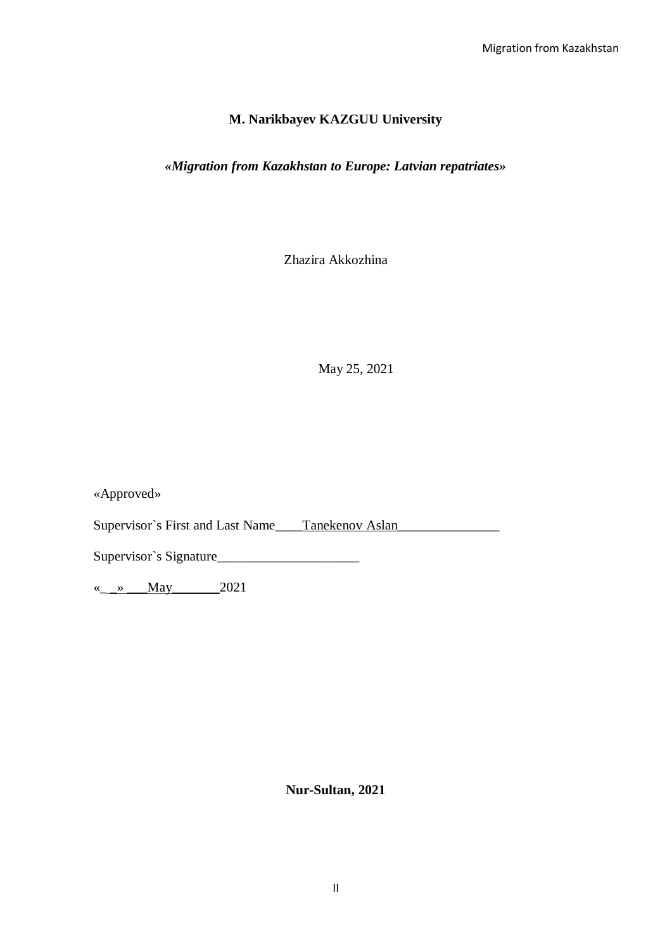## **M. Narikbayev KAZGUU University**

## *«Migration from Kazakhstan to Europe: Latvian repatriates»*

Zhazira Akkozhina

May 25, 2021

«Approved»

Supervisor`s First and Last Name\_\_\_\_Tanekenov Aslan\_\_\_\_\_\_\_\_\_\_\_\_\_\_\_\_\_\_\_\_\_\_\_\_\_\_\_\_\_

Supervisor`s Signature\_\_\_\_\_\_\_\_\_\_\_\_\_\_\_\_\_\_\_\_\_

« $\_\_\_\$   $\_\_\_$  May 2021

**Nur-Sultan, 2021**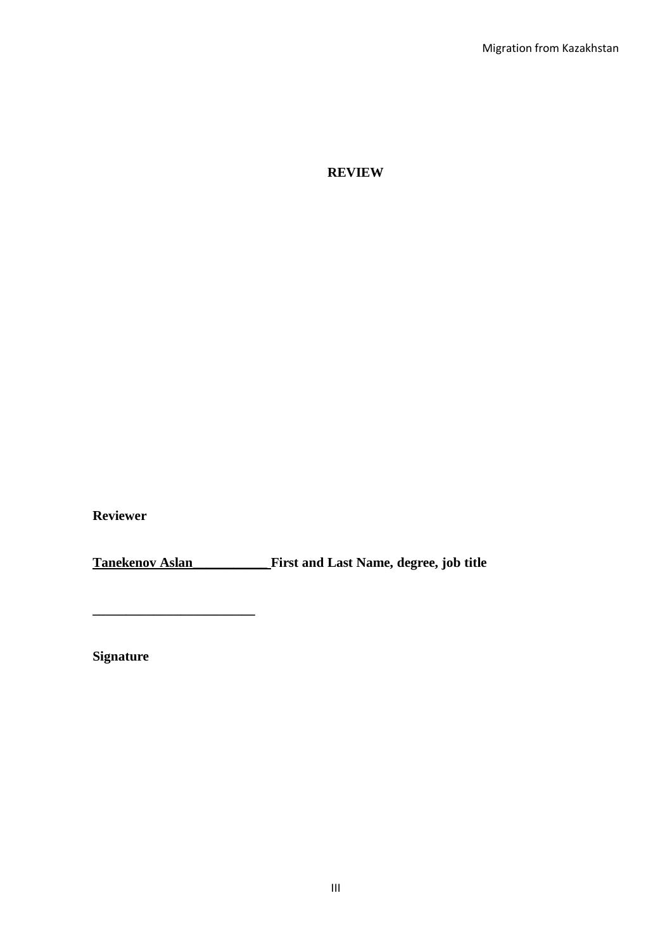**REVIEW**

**Reviewer**

**Tanekenov Aslan\_\_\_\_\_\_\_\_\_\_\_ First and Last Name, degree, job title**

**Signature**

**\_\_\_\_\_\_\_\_\_\_\_\_\_\_\_\_\_\_\_\_\_\_\_\_**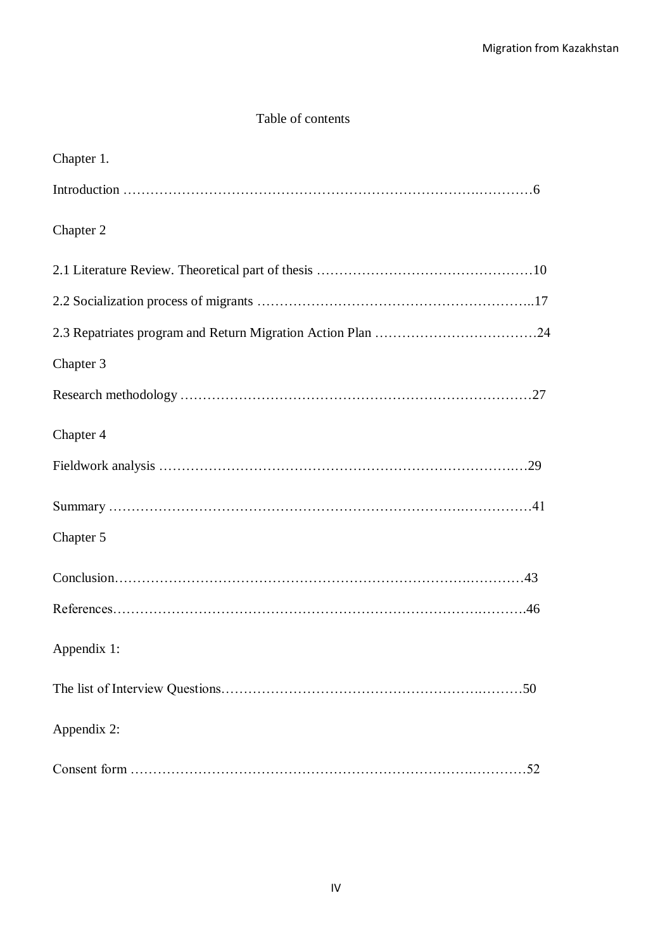# Table of contents

| Chapter 1.  |
|-------------|
|             |
| Chapter 2   |
|             |
|             |
|             |
| Chapter 3   |
|             |
| Chapter 4   |
|             |
|             |
| Chapter 5   |
|             |
|             |
| Appendix 1: |
|             |
| Appendix 2: |
|             |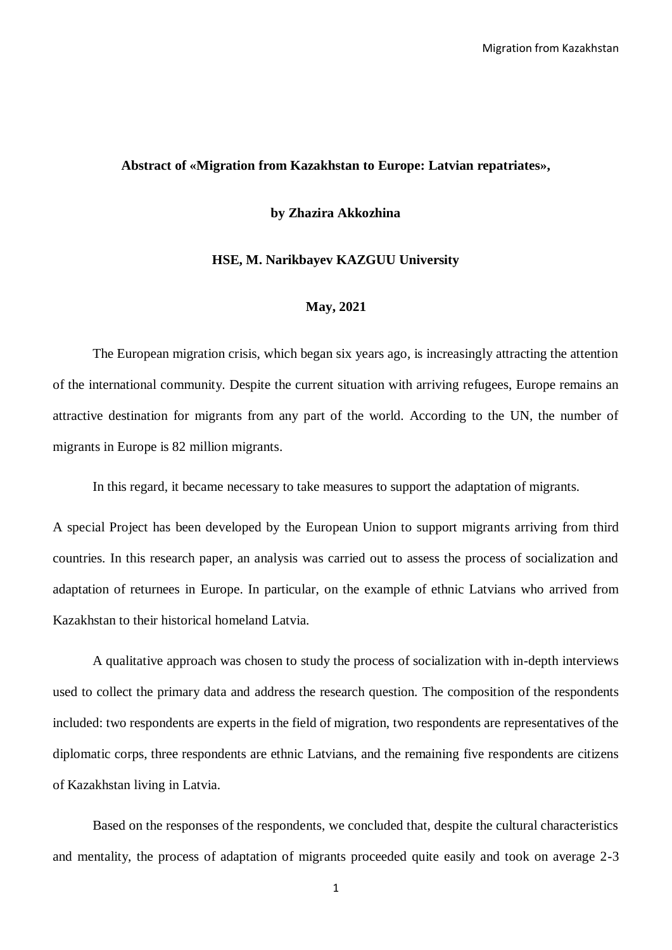#### **Abstract of «Migration from Kazakhstan to Europe: Latvian repatriates»,**

#### **by Zhazira Akkozhina**

#### **HSE, M. Narikbayev KAZGUU University**

#### **May, 2021**

The European migration crisis, which began six years ago, is increasingly attracting the attention of the international community. Despite the current situation with arriving refugees, Europe remains an attractive destination for migrants from any part of the world. According to the UN, the number of migrants in Europe is 82 million migrants.

In this regard, it became necessary to take measures to support the adaptation of migrants.

A special Project has been developed by the European Union to support migrants arriving from third countries. In this research paper, an analysis was carried out to assess the process of socialization and adaptation of returnees in Europe. In particular, on the example of ethnic Latvians who arrived from Kazakhstan to their historical homeland Latvia.

A qualitative approach was chosen to study the process of socialization with in-depth interviews used to collect the primary data and address the research question. The composition of the respondents included: two respondents are experts in the field of migration, two respondents are representatives of the diplomatic corps, three respondents are ethnic Latvians, and the remaining five respondents are citizens of Kazakhstan living in Latvia.

Based on the responses of the respondents, we concluded that, despite the cultural characteristics and mentality, the process of adaptation of migrants proceeded quite easily and took on average 2-3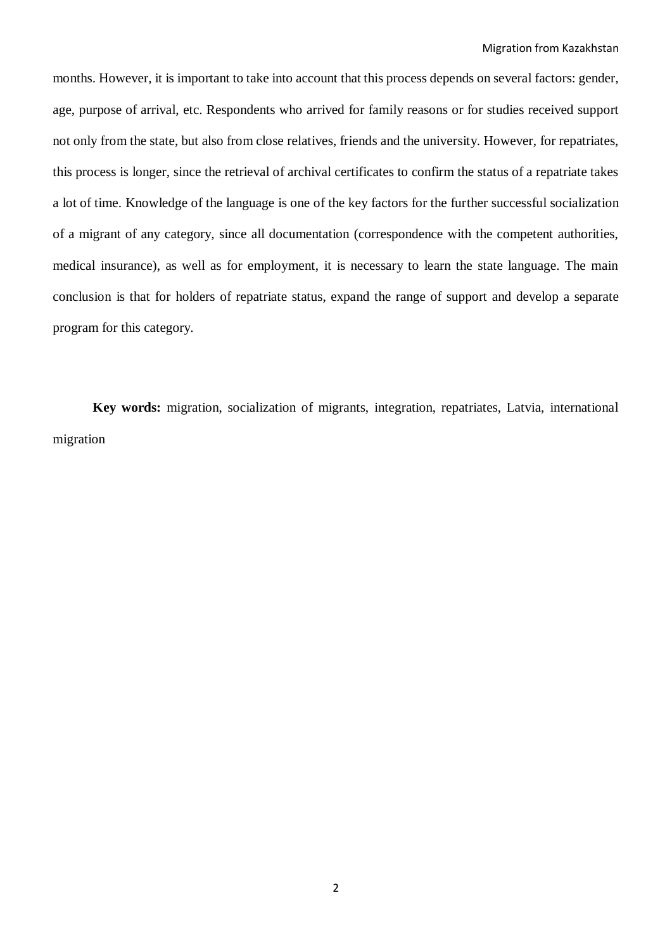months. However, it is important to take into account that this process depends on several factors: gender, age, purpose of arrival, etc. Respondents who arrived for family reasons or for studies received support not only from the state, but also from close relatives, friends and the university. However, for repatriates, this process is longer, since the retrieval of archival certificates to confirm the status of a repatriate takes a lot of time. Knowledge of the language is one of the key factors for the further successful socialization of a migrant of any category, since all documentation (correspondence with the competent authorities, medical insurance), as well as for employment, it is necessary to learn the state language. The main conclusion is that for holders of repatriate status, expand the range of support and develop a separate program for this category.

**Key words:** migration, socialization of migrants, integration, repatriates, Latvia, international migration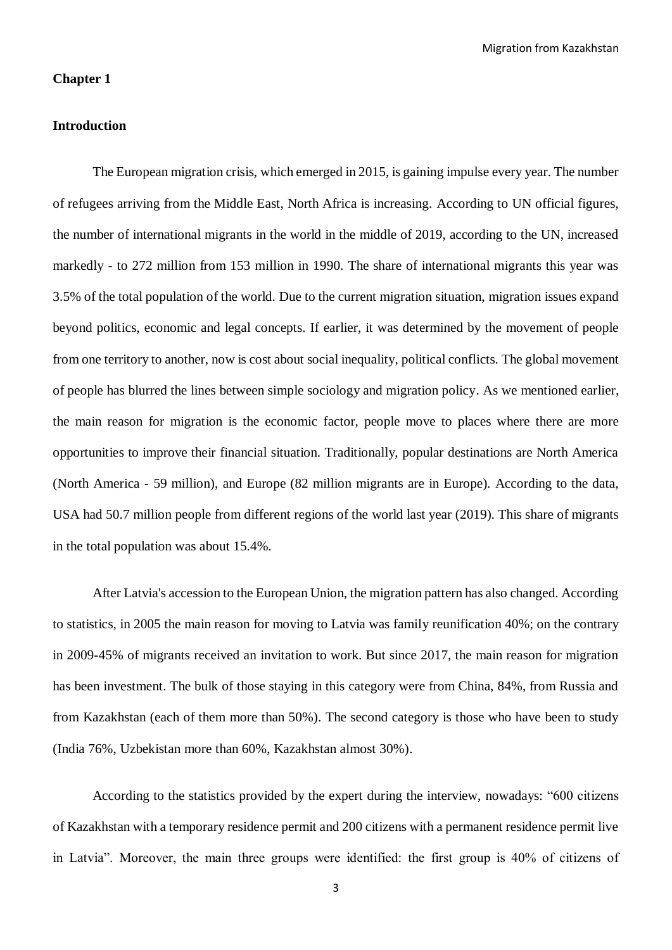#### **Chapter 1**

#### **Introduction**

The European migration crisis, which emerged in 2015, is gaining impulse every year. The number of refugees arriving from the Middle East, North Africa is increasing. According to UN official figures, the number of international migrants in the world in the middle of 2019, according to the UN, increased markedly - to 272 million from 153 million in 1990. The share of international migrants this year was 3.5% of the total population of the world. Due to the current migration situation, migration issues expand beyond politics, economic and legal concepts. If earlier, it was determined by the movement of people from one territory to another, now is cost about social inequality, political conflicts. The global movement of people has blurred the lines between simple sociology and migration policy. As we mentioned earlier, the main reason for migration is the economic factor, people move to places where there are more opportunities to improve their financial situation. Traditionally, popular destinations are North America (North America - 59 million), and Europe (82 million migrants are in Europe). According to the data, USA had 50.7 million people from different regions of the world last year (2019). This share of migrants in the total population was about 15.4%.

After Latvia's accession to the European Union, the migration pattern has also changed. According to statistics, in 2005 the main reason for moving to Latvia was family reunification 40%; on the contrary in 2009-45% of migrants received an invitation to work. But since 2017, the main reason for migration has been investment. The bulk of those staying in this category were from China, 84%, from Russia and from Kazakhstan (each of them more than 50%). The second category is those who have been to study (India 76%, Uzbekistan more than 60%, Kazakhstan almost 30%).

According to the statistics provided by the expert during the interview, nowadays: "600 citizens of Kazakhstan with a temporary residence permit and 200 citizens with a permanent residence permit live in Latvia". Moreover, the main three groups were identified: the first group is 40% of citizens of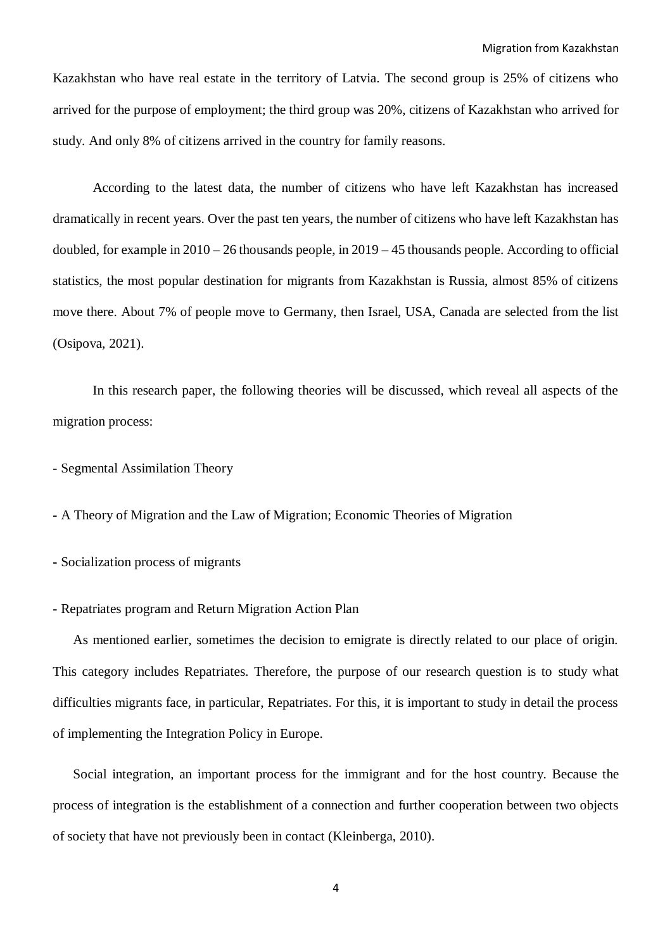Kazakhstan who have real estate in the territory of Latvia. The second group is 25% of citizens who arrived for the purpose of employment; the third group was 20%, citizens of Kazakhstan who arrived for study. And only 8% of citizens arrived in the country for family reasons.

According to the latest data, the number of citizens who have left Kazakhstan has increased dramatically in recent years. Over the past ten years, the number of citizens who have left Kazakhstan has doubled, for example in 2010 – 26 thousands people, in 2019 – 45 thousands people. According to official statistics, the most popular destination for migrants from Kazakhstan is Russia, almost 85% of citizens move there. About 7% of people move to Germany, then Israel, USA, Canada are selected from the list (Osipova, 2021).

In this research paper, the following theories will be discussed, which reveal all aspects of the migration process:

- Segmental Assimilation Theory

**-** A Theory of Migration and the Law of Migration; Economic Theories of Migration

**-** Socialization process of migrants

- Repatriates program and Return Migration Action Plan

As mentioned earlier, sometimes the decision to emigrate is directly related to our place of origin. This category includes Repatriates. Therefore, the purpose of our research question is to study what difficulties migrants face, in particular, Repatriates. For this, it is important to study in detail the process of implementing the Integration Policy in Europe.

Social integration, an important process for the immigrant and for the host country. Because the process of integration is the establishment of a connection and further cooperation between two objects of society that have not previously been in contact (Kleinberga, 2010).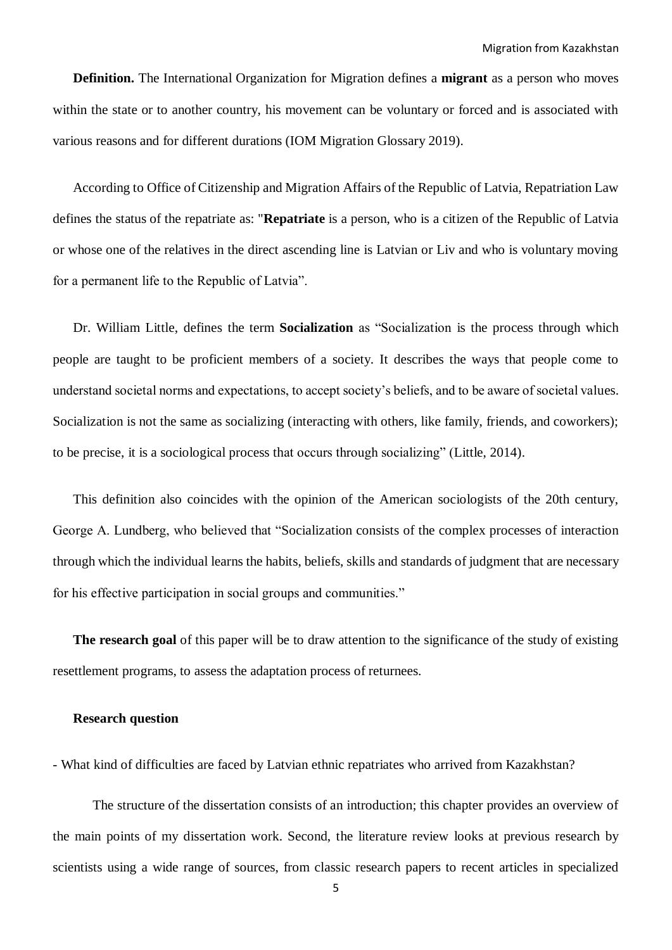**Definition.** The International Organization for Migration defines a **migrant** as a person who moves within the state or to another country, his movement can be voluntary or forced and is associated with various reasons and for different durations (IOM Migration Glossary 2019).

According to Office of Citizenship and Migration Affairs of the Republic of Latvia, Repatriation Law defines the status of the repatriate as: "**Repatriate** is a person, who is a citizen of the Republic of Latvia or whose one of the relatives in the direct ascending line is Latvian or Liv and who is voluntary moving for a permanent life to the Republic of Latvia".

Dr. William Little, defines the term **Socialization** as "Socialization is the process through which people are taught to be proficient members of a society. It describes the ways that people come to understand societal norms and expectations, to accept society's beliefs, and to be aware of societal values. Socialization is not the same as socializing (interacting with others, like family, friends, and coworkers); to be precise, it is a sociological process that occurs through socializing" (Little, 2014).

This definition also coincides with the opinion of the American sociologists of the 20th century, George A. Lundberg, who believed that "Socialization consists of the complex processes of interaction through which the individual learns the habits, beliefs, skills and standards of judgment that are necessary for his effective participation in social groups and communities."

**The research goal** of this paper will be to draw attention to the significance of the study of existing resettlement programs, to assess the adaptation process of returnees.

#### **Research question**

- What kind of difficulties are faced by Latvian ethnic repatriates who arrived from Kazakhstan?

The structure of the dissertation consists of an introduction; this chapter provides an overview of the main points of my dissertation work. Second, the literature review looks at previous research by scientists using a wide range of sources, from classic research papers to recent articles in specialized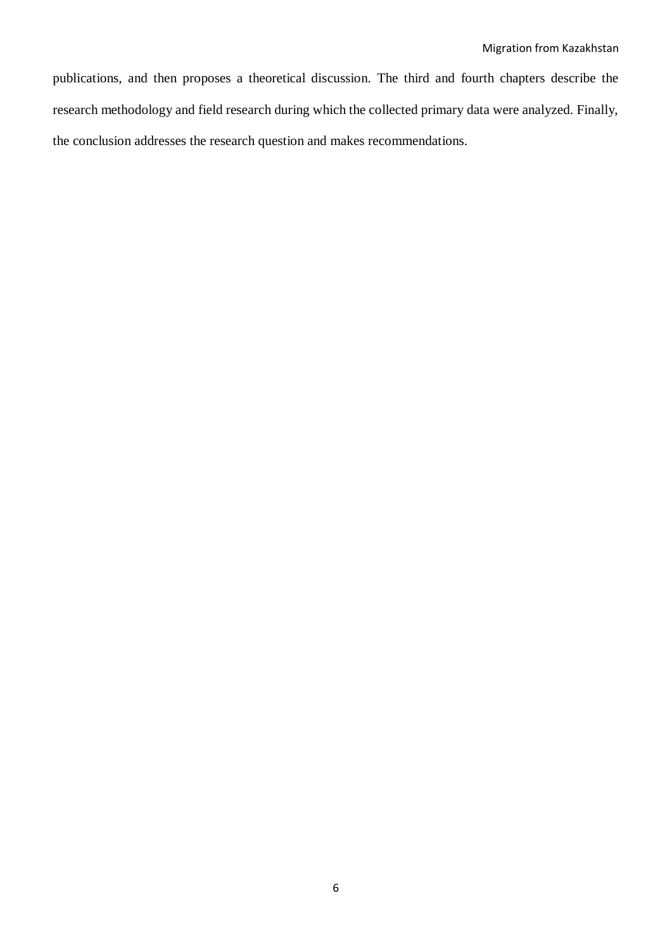publications, and then proposes a theoretical discussion. The third and fourth chapters describe the research methodology and field research during which the collected primary data were analyzed. Finally, the conclusion addresses the research question and makes recommendations.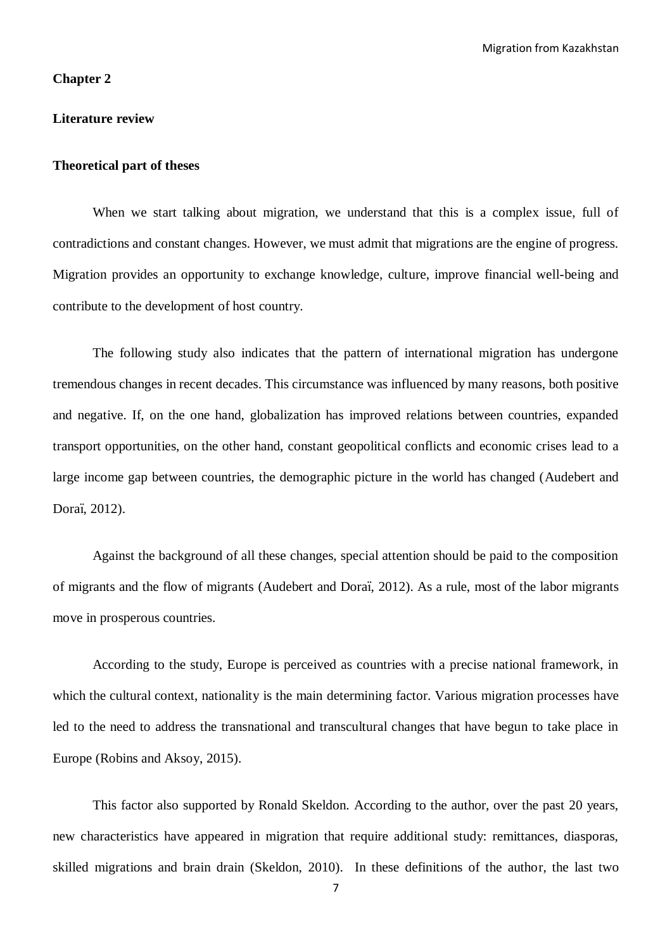#### **Chapter 2**

#### **Literature review**

#### **Theoretical part of theses**

When we start talking about migration, we understand that this is a complex issue, full of contradictions and constant changes. However, we must admit that migrations are the engine of progress. Migration provides an opportunity to exchange knowledge, culture, improve financial well-being and contribute to the development of host country.

The following study also indicates that the pattern of international migration has undergone tremendous changes in recent decades. This circumstance was influenced by many reasons, both positive and negative. If, on the one hand, globalization has improved relations between countries, expanded transport opportunities, on the other hand, constant geopolitical conflicts and economic crises lead to a large income gap between countries, the demographic picture in the world has changed (Audebert and Doraï, 2012).

Against the background of all these changes, special attention should be paid to the composition of migrants and the flow of migrants (Audebert and Doraï, 2012). As a rule, most of the labor migrants move in prosperous countries.

According to the study, Europe is perceived as countries with a precise national framework, in which the cultural context, nationality is the main determining factor. Various migration processes have led to the need to address the transnational and transcultural changes that have begun to take place in Europe (Robins and Aksoy, 2015).

This factor also supported by Ronald Skeldon. According to the author, over the past 20 years, new characteristics have appeared in migration that require additional study: remittances, diasporas, skilled migrations and brain drain (Skeldon, 2010). In these definitions of the author, the last two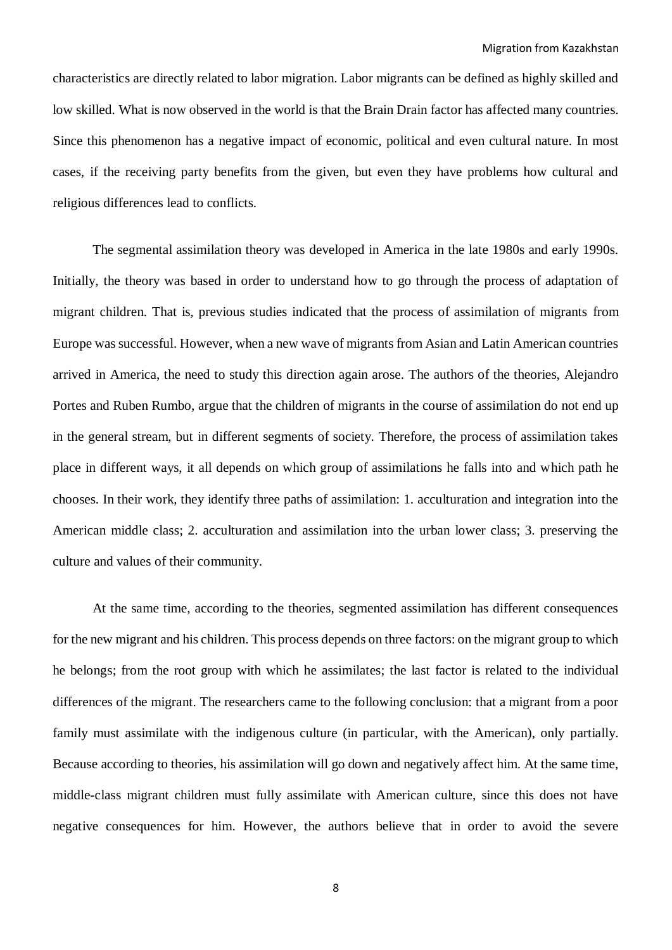characteristics are directly related to labor migration. Labor migrants can be defined as highly skilled and low skilled. What is now observed in the world is that the Brain Drain factor has affected many countries. Since this phenomenon has a negative impact of economic, political and even cultural nature. In most cases, if the receiving party benefits from the given, but even they have problems how cultural and religious differences lead to conflicts.

The segmental assimilation theory was developed in America in the late 1980s and early 1990s. Initially, the theory was based in order to understand how to go through the process of adaptation of migrant children. That is, previous studies indicated that the process of assimilation of migrants from Europe was successful. However, when a new wave of migrants from Asian and Latin American countries arrived in America, the need to study this direction again arose. The authors of the theories, Alejandro Portes and Ruben Rumbo, argue that the children of migrants in the course of assimilation do not end up in the general stream, but in different segments of society. Therefore, the process of assimilation takes place in different ways, it all depends on which group of assimilations he falls into and which path he chooses. In their work, they identify three paths of assimilation: 1. acculturation and integration into the American middle class; 2. acculturation and assimilation into the urban lower class; 3. preserving the culture and values of their community.

At the same time, according to the theories, segmented assimilation has different consequences for the new migrant and his children. This process depends on three factors: on the migrant group to which he belongs; from the root group with which he assimilates; the last factor is related to the individual differences of the migrant. The researchers came to the following conclusion: that a migrant from a poor family must assimilate with the indigenous culture (in particular, with the American), only partially. Because according to theories, his assimilation will go down and negatively affect him. At the same time, middle-class migrant children must fully assimilate with American culture, since this does not have negative consequences for him. However, the authors believe that in order to avoid the severe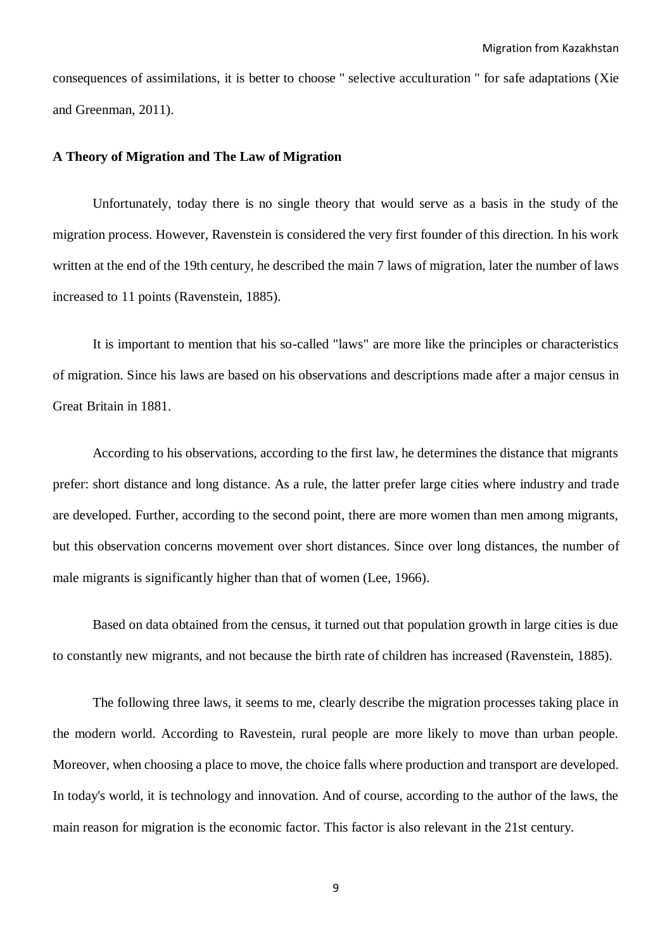consequences of assimilations, it is better to choose '' selective acculturation '' for safe adaptations (Xie and Greenman, 2011).

## **A Theory of Migration and The Law of Migration**

Unfortunately, today there is no single theory that would serve as a basis in the study of the migration process. However, Ravenstein is considered the very first founder of this direction. In his work written at the end of the 19th century, he described the main 7 laws of migration, later the number of laws increased to 11 points (Ravenstein, 1885).

It is important to mention that his so-called "laws" are more like the principles or characteristics of migration. Since his laws are based on his observations and descriptions made after a major census in Great Britain in 1881.

According to his observations, according to the first law, he determines the distance that migrants prefer: short distance and long distance. As a rule, the latter prefer large cities where industry and trade are developed. Further, according to the second point, there are more women than men among migrants, but this observation concerns movement over short distances. Since over long distances, the number of male migrants is significantly higher than that of women (Lee, 1966).

Based on data obtained from the census, it turned out that population growth in large cities is due to constantly new migrants, and not because the birth rate of children has increased (Ravenstein, 1885).

The following three laws, it seems to me, clearly describe the migration processes taking place in the modern world. According to Ravestein, rural people are more likely to move than urban people. Moreover, when choosing a place to move, the choice falls where production and transport are developed. In today's world, it is technology and innovation. And of course, according to the author of the laws, the main reason for migration is the economic factor. This factor is also relevant in the 21st century.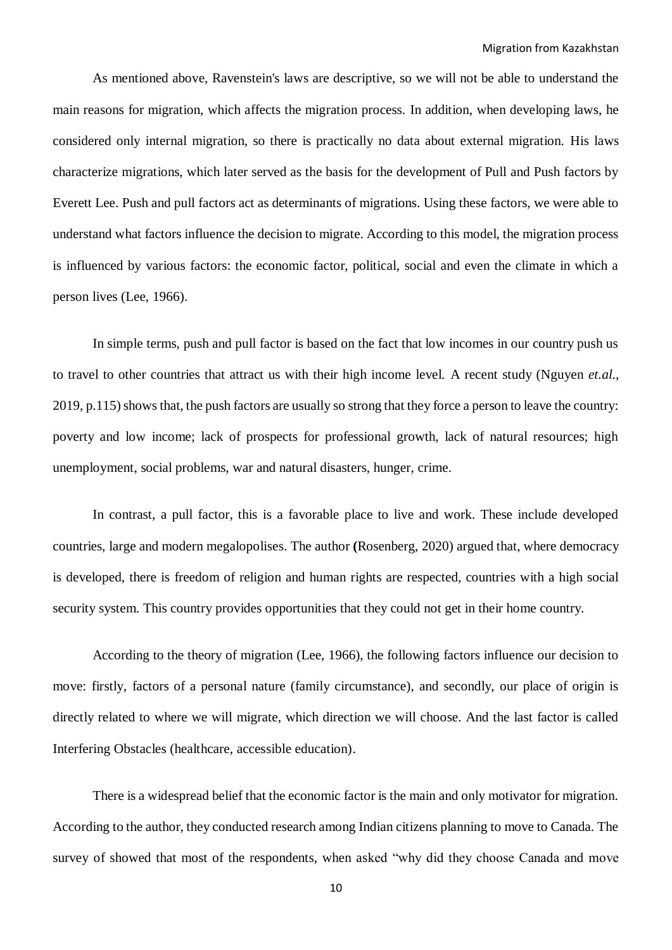As mentioned above, Ravenstein's laws are descriptive, so we will not be able to understand the main reasons for migration, which affects the migration process. In addition, when developing laws, he considered only internal migration, so there is practically no data about external migration. His laws characterize migrations, which later served as the basis for the development of Pull and Push factors by Everett Lee. Push and pull factors act as determinants of migrations. Using these factors, we were able to understand what factors influence the decision to migrate. According to this model, the migration process is influenced by various factors: the economic factor, political, social and even the climate in which a person lives (Lee, 1966).

In simple terms, push and pull factor is based on the fact that low incomes in our country push us to travel to other countries that attract us with their high income level. A recent study (Nguyen *et.al.,*  2019, p.115) shows that, the push factors are usually so strong that they force a person to leave the country: poverty and low income; lack of prospects for professional growth, lack of natural resources; high unemployment, social problems, war and natural disasters, hunger, crime.

In contrast, a pull factor, this is a favorable place to live and work. These include developed countries, large and modern megalopolises. The author **(**Rosenberg, 2020) argued that, where democracy is developed, there is freedom of religion and human rights are respected, countries with a high social security system. This country provides opportunities that they could not get in their home country.

According to the theory of migration (Lee, 1966), the following factors influence our decision to move: firstly, factors of a personal nature (family circumstance), and secondly, our place of origin is directly related to where we will migrate, which direction we will choose. And the last factor is called Interfering Obstacles (healthcare, accessible education).

There is a widespread belief that the economic factor is the main and only motivator for migration. According to the author, they conducted research among Indian citizens planning to move to Canada. The survey of showed that most of the respondents, when asked "why did they choose Canada and move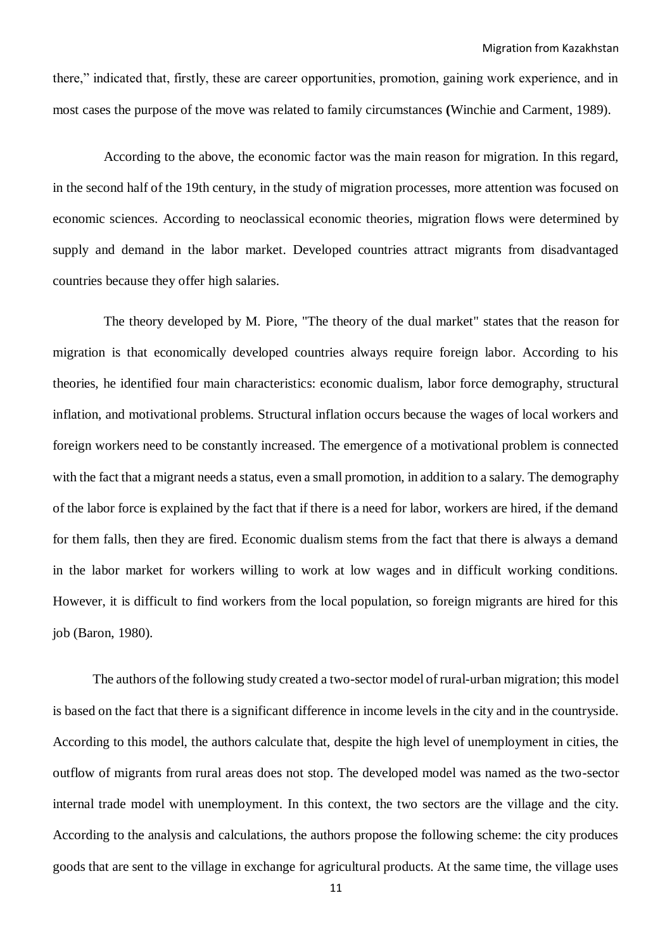there," indicated that, firstly, these are career opportunities, promotion, gaining work experience, and in most cases the purpose of the move was related to family circumstances **(**Winchie and Carment, 1989).

According to the above, the economic factor was the main reason for migration. In this regard, in the second half of the 19th century, in the study of migration processes, more attention was focused on economic sciences. According to neoclassical economic theories, migration flows were determined by supply and demand in the labor market. Developed countries attract migrants from disadvantaged countries because they offer high salaries.

The theory developed by M. Piore, "The theory of the dual market" states that the reason for migration is that economically developed countries always require foreign labor. According to his theories, he identified four main characteristics: economic dualism, labor force demography, structural inflation, and motivational problems. Structural inflation occurs because the wages of local workers and foreign workers need to be constantly increased. The emergence of a motivational problem is connected with the fact that a migrant needs a status, even a small promotion, in addition to a salary. The demography of the labor force is explained by the fact that if there is a need for labor, workers are hired, if the demand for them falls, then they are fired. Economic dualism stems from the fact that there is always a demand in the labor market for workers willing to work at low wages and in difficult working conditions. However, it is difficult to find workers from the local population, so foreign migrants are hired for this job (Baron, 1980).

The authors of the following study created a two-sector model of rural-urban migration; this model is based on the fact that there is a significant difference in income levels in the city and in the countryside. According to this model, the authors calculate that, despite the high level of unemployment in cities, the outflow of migrants from rural areas does not stop. The developed model was named as the two-sector internal trade model with unemployment. In this context, the two sectors are the village and the city. According to the analysis and calculations, the authors propose the following scheme: the city produces goods that are sent to the village in exchange for agricultural products. At the same time, the village uses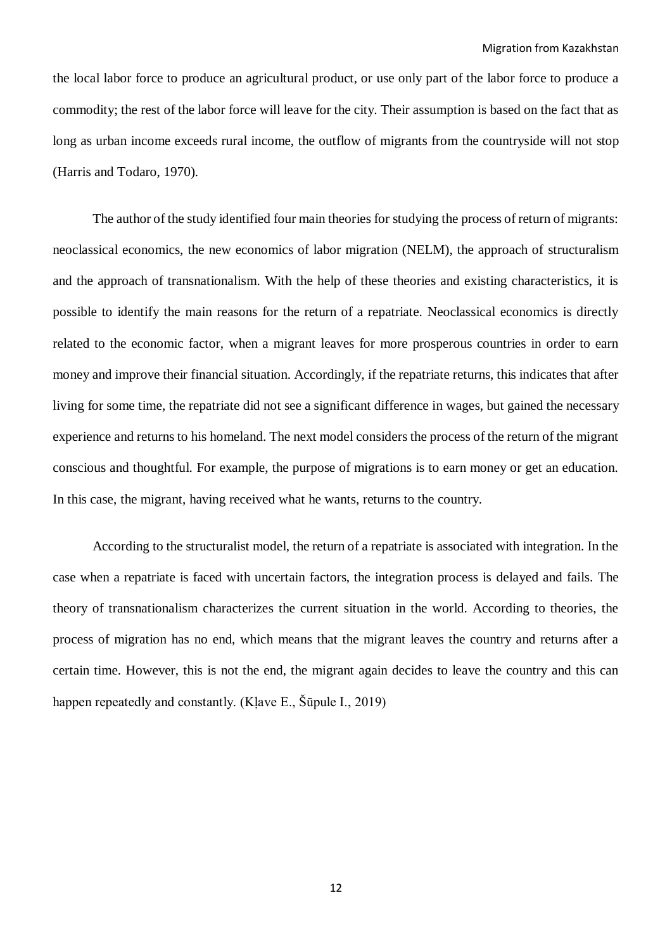the local labor force to produce an agricultural product, or use only part of the labor force to produce a commodity; the rest of the labor force will leave for the city. Their assumption is based on the fact that as long as urban income exceeds rural income, the outflow of migrants from the countryside will not stop (Harris and Todaro, 1970).

The author of the study identified four main theories for studying the process of return of migrants: neoclassical economics, the new economics of labor migration (NELM), the approach of structuralism and the approach of transnationalism. With the help of these theories and existing characteristics, it is possible to identify the main reasons for the return of a repatriate. Neoclassical economics is directly related to the economic factor, when a migrant leaves for more prosperous countries in order to earn money and improve their financial situation. Accordingly, if the repatriate returns, this indicates that after living for some time, the repatriate did not see a significant difference in wages, but gained the necessary experience and returns to his homeland. The next model considers the process of the return of the migrant conscious and thoughtful. For example, the purpose of migrations is to earn money or get an education. In this case, the migrant, having received what he wants, returns to the country.

According to the structuralist model, the return of a repatriate is associated with integration. In the case when a repatriate is faced with uncertain factors, the integration process is delayed and fails. The theory of transnationalism characterizes the current situation in the world. According to theories, the process of migration has no end, which means that the migrant leaves the country and returns after a certain time. However, this is not the end, the migrant again decides to leave the country and this can happen repeatedly and constantly. (Klave E., Šūpule I., 2019)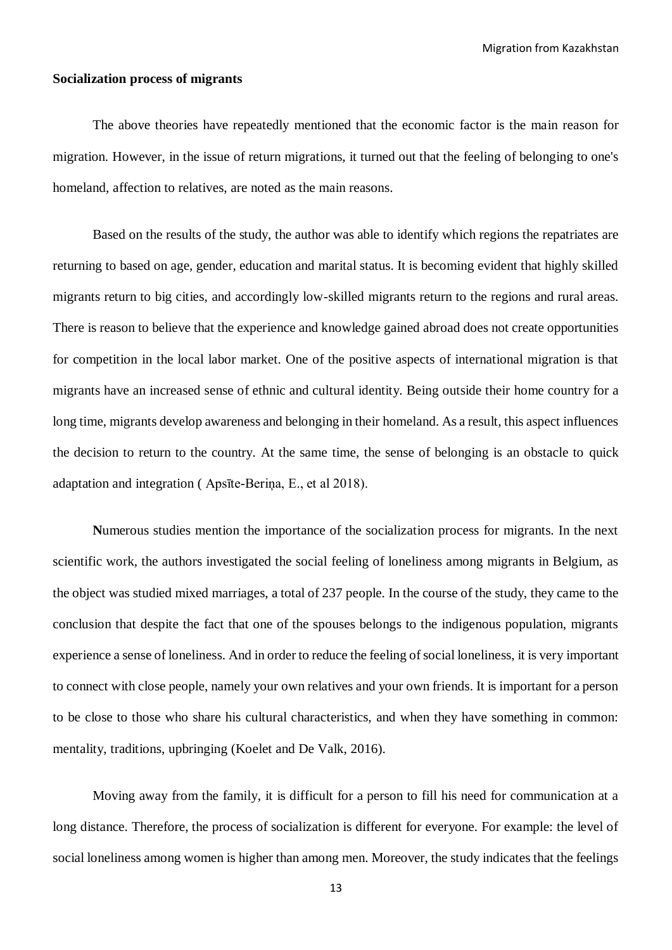Migration from Kazakhstan

#### **Socialization process of migrants**

The above theories have repeatedly mentioned that the economic factor is the main reason for migration. However, in the issue of return migrations, it turned out that the feeling of belonging to one's homeland, affection to relatives, are noted as the main reasons.

Based on the results of the study, the author was able to identify which regions the repatriates are returning to based on age, gender, education and marital status. It is becoming evident that highly skilled migrants return to big cities, and accordingly low-skilled migrants return to the regions and rural areas. There is reason to believe that the experience and knowledge gained abroad does not create opportunities for competition in the local labor market. One of the positive aspects of international migration is that migrants have an increased sense of ethnic and cultural identity. Being outside their home country for a long time, migrants develop awareness and belonging in their homeland. As a result, this aspect influences the decision to return to the country. At the same time, the sense of belonging is an obstacle to quick adaptation and integration ( Apsīte-Beriņa, E., et al 2018).

**N**umerous studies mention the importance of the socialization process for migrants. In the next scientific work, the authors investigated the social feeling of loneliness among migrants in Belgium, as the object was studied mixed marriages, a total of 237 people. In the course of the study, they came to the conclusion that despite the fact that one of the spouses belongs to the indigenous population, migrants experience a sense of loneliness. And in order to reduce the feeling of social loneliness, it is very important to connect with close people, namely your own relatives and your own friends. It is important for a person to be close to those who share his cultural characteristics, and when they have something in common: mentality, traditions, upbringing (Koelet and De Valk, 2016).

Moving away from the family, it is difficult for a person to fill his need for communication at a long distance. Therefore, the process of socialization is different for everyone. For example: the level of social loneliness among women is higher than among men. Moreover, the study indicates that the feelings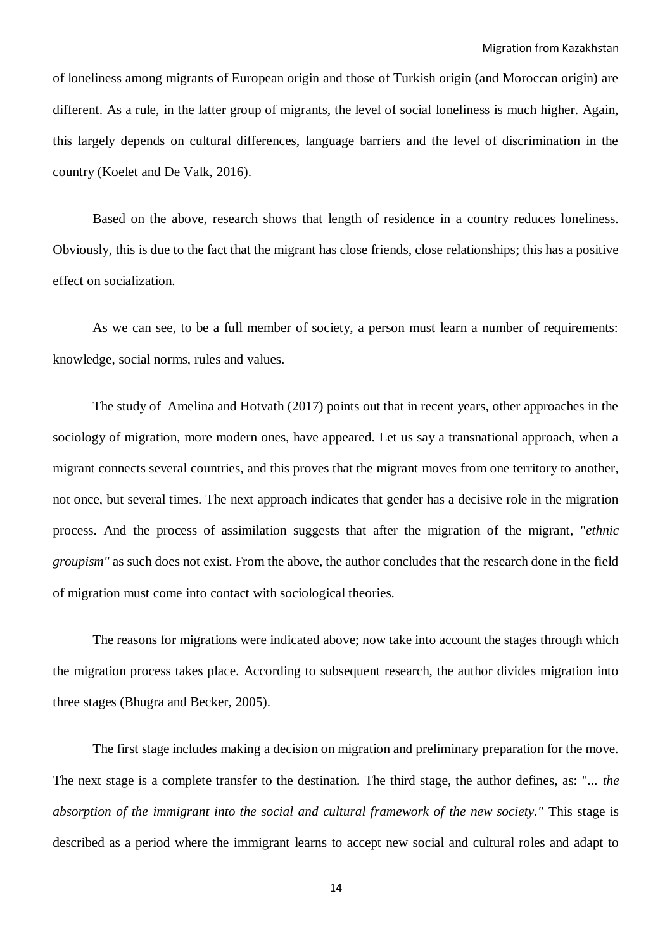of loneliness among migrants of European origin and those of Turkish origin (and Moroccan origin) are different. As a rule, in the latter group of migrants, the level of social loneliness is much higher. Again, this largely depends on cultural differences, language barriers and the level of discrimination in the country (Koelet and De Valk, 2016).

Based on the above, research shows that length of residence in a country reduces loneliness. Obviously, this is due to the fact that the migrant has close friends, close relationships; this has a positive effect on socialization.

As we can see, to be a full member of society, a person must learn a number of requirements: knowledge, social norms, rules and values.

The study of Amelina and Hotvath (2017) points out that in recent years, other approaches in the sociology of migration, more modern ones, have appeared. Let us say a transnational approach, when a migrant connects several countries, and this proves that the migrant moves from one territory to another, not once, but several times. The next approach indicates that gender has a decisive role in the migration process. And the process of assimilation suggests that after the migration of the migrant, "*ethnic groupism"* as such does not exist. From the above, the author concludes that the research done in the field of migration must come into contact with sociological theories.

The reasons for migrations were indicated above; now take into account the stages through which the migration process takes place. According to subsequent research, the author divides migration into three stages (Bhugra and Becker, 2005).

The first stage includes making a decision on migration and preliminary preparation for the move. The next stage is a complete transfer to the destination. The third stage, the author defines, as: "... *the absorption of the immigrant into the social and cultural framework of the new society."* This stage is described as a period where the immigrant learns to accept new social and cultural roles and adapt to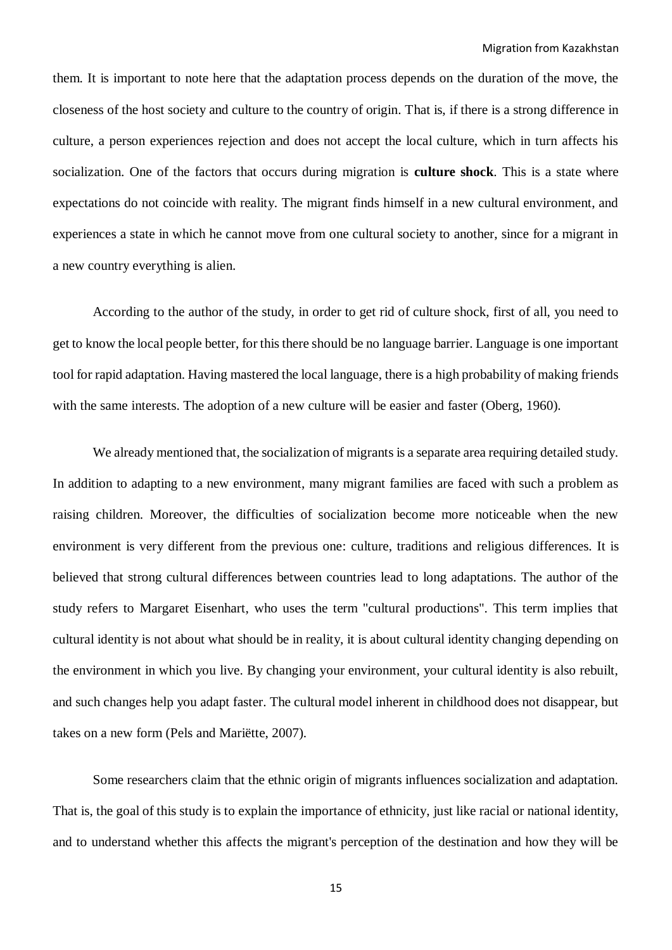them. It is important to note here that the adaptation process depends on the duration of the move, the closeness of the host society and culture to the country of origin. That is, if there is a strong difference in culture, a person experiences rejection and does not accept the local culture, which in turn affects his socialization. One of the factors that occurs during migration is **culture shock**. This is a state where expectations do not coincide with reality. The migrant finds himself in a new cultural environment, and experiences a state in which he cannot move from one cultural society to another, since for a migrant in a new country everything is alien.

According to the author of the study, in order to get rid of culture shock, first of all, you need to get to know the local people better, for this there should be no language barrier. Language is one important tool for rapid adaptation. Having mastered the local language, there is a high probability of making friends with the same interests. The adoption of a new culture will be easier and faster (Oberg, 1960).

We already mentioned that, the socialization of migrants is a separate area requiring detailed study. In addition to adapting to a new environment, many migrant families are faced with such a problem as raising children. Moreover, the difficulties of socialization become more noticeable when the new environment is very different from the previous one: culture, traditions and religious differences. It is believed that strong cultural differences between countries lead to long adaptations. The author of the study refers to Margaret Eisenhart, who uses the term "cultural productions". This term implies that cultural identity is not about what should be in reality, it is about cultural identity changing depending on the environment in which you live. By changing your environment, your cultural identity is also rebuilt, and such changes help you adapt faster. The cultural model inherent in childhood does not disappear, but takes on a new form (Pels and Mariëtte, 2007).

Some researchers claim that the ethnic origin of migrants influences socialization and adaptation. That is, the goal of this study is to explain the importance of ethnicity, just like racial or national identity, and to understand whether this affects the migrant's perception of the destination and how they will be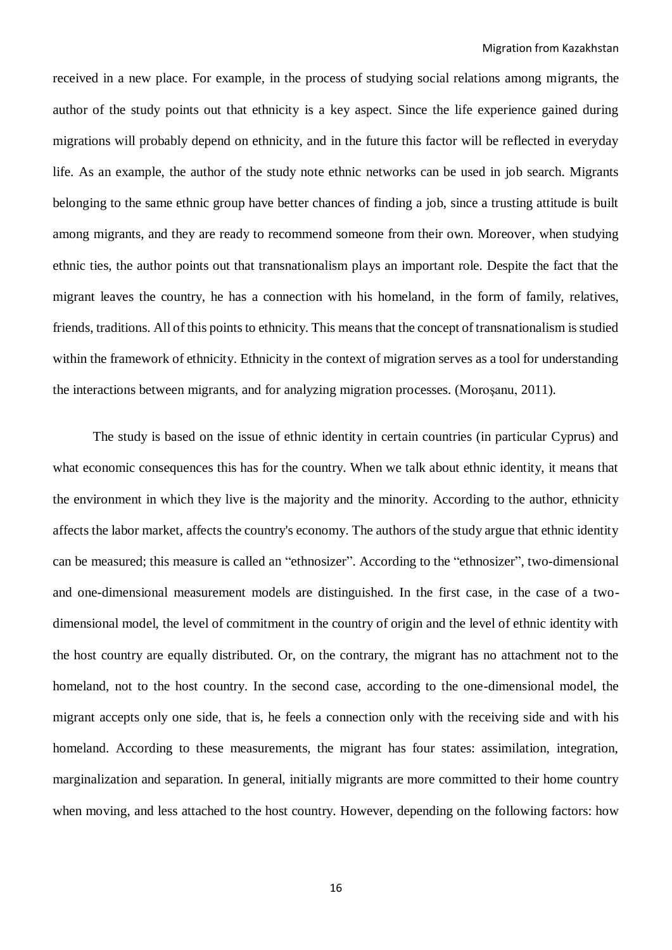received in a new place. For example, in the process of studying social relations among migrants, the author of the study points out that ethnicity is a key aspect. Since the life experience gained during migrations will probably depend on ethnicity, and in the future this factor will be reflected in everyday life. As an example, the author of the study note ethnic networks can be used in job search. Migrants belonging to the same ethnic group have better chances of finding a job, since a trusting attitude is built among migrants, and they are ready to recommend someone from their own. Moreover, when studying ethnic ties, the author points out that transnationalism plays an important role. Despite the fact that the migrant leaves the country, he has a connection with his homeland, in the form of family, relatives, friends, traditions. All of this points to ethnicity. This means that the concept of transnationalism is studied within the framework of ethnicity. Ethnicity in the context of migration serves as a tool for understanding the interactions between migrants, and for analyzing migration processes. (Moroşanu, 2011).

The study is based on the issue of ethnic identity in certain countries (in particular Cyprus) and what economic consequences this has for the country. When we talk about ethnic identity, it means that the environment in which they live is the majority and the minority. According to the author, ethnicity affects the labor market, affects the country's economy. The authors of the study argue that ethnic identity can be measured; this measure is called an "ethnosizer". According to the "ethnosizer", two-dimensional and one-dimensional measurement models are distinguished. In the first case, in the case of a twodimensional model, the level of commitment in the country of origin and the level of ethnic identity with the host country are equally distributed. Or, on the contrary, the migrant has no attachment not to the homeland, not to the host country. In the second case, according to the one-dimensional model, the migrant accepts only one side, that is, he feels a connection only with the receiving side and with his homeland. According to these measurements, the migrant has four states: assimilation, integration, marginalization and separation. In general, initially migrants are more committed to their home country when moving, and less attached to the host country. However, depending on the following factors: how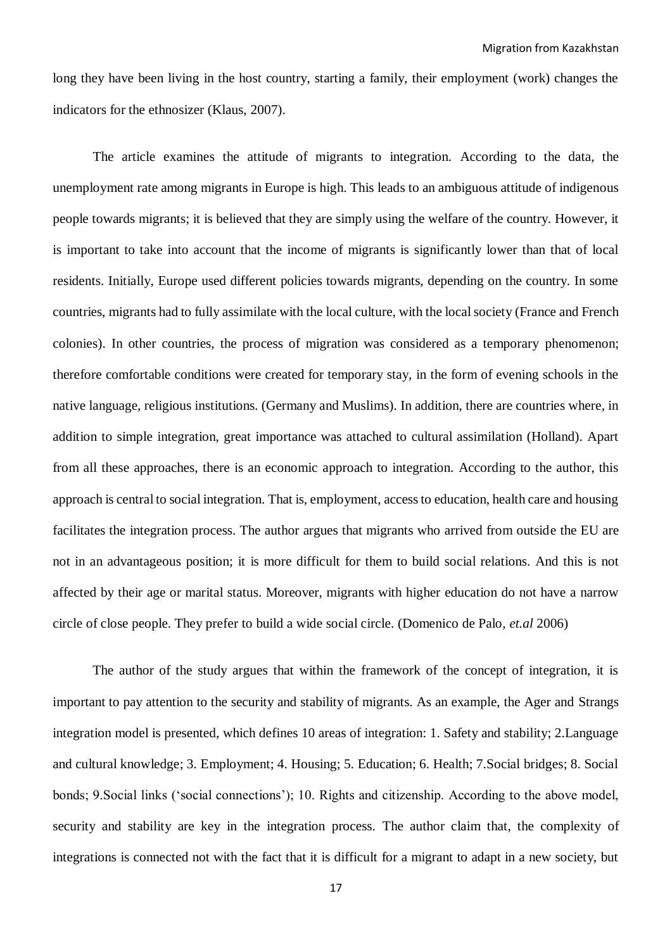long they have been living in the host country, starting a family, their employment (work) changes the indicators for the ethnosizer (Klaus, 2007).

The article examines the attitude of migrants to integration. According to the data, the unemployment rate among migrants in Europe is high. This leads to an ambiguous attitude of indigenous people towards migrants; it is believed that they are simply using the welfare of the country. However, it is important to take into account that the income of migrants is significantly lower than that of local residents. Initially, Europe used different policies towards migrants, depending on the country. In some countries, migrants had to fully assimilate with the local culture, with the local society (France and French colonies). In other countries, the process of migration was considered as a temporary phenomenon; therefore comfortable conditions were created for temporary stay, in the form of evening schools in the native language, religious institutions. (Germany and Muslims). In addition, there are countries where, in addition to simple integration, great importance was attached to cultural assimilation (Holland). Apart from all these approaches, there is an economic approach to integration. According to the author, this approach is central to social integration. That is, employment, access to education, health care and housing facilitates the integration process. The author argues that migrants who arrived from outside the EU are not in an advantageous position; it is more difficult for them to build social relations. And this is not affected by their age or marital status. Moreover, migrants with higher education do not have a narrow circle of close people. They prefer to build a wide social circle. (Domenico de Palo*, et.al* 2006)

The author of the study argues that within the framework of the concept of integration, it is important to pay attention to the security and stability of migrants. As an example, the Ager and Strangs integration model is presented, which defines 10 areas of integration: 1. Safety and stability; 2.Language and cultural knowledge; 3. Employment; 4. Housing; 5. Education; 6. Health; 7.Social bridges; 8. Social bonds; 9.Social links ('social connections'); 10. Rights and citizenship. According to the above model, security and stability are key in the integration process. The author claim that, the complexity of integrations is connected not with the fact that it is difficult for a migrant to adapt in a new society, but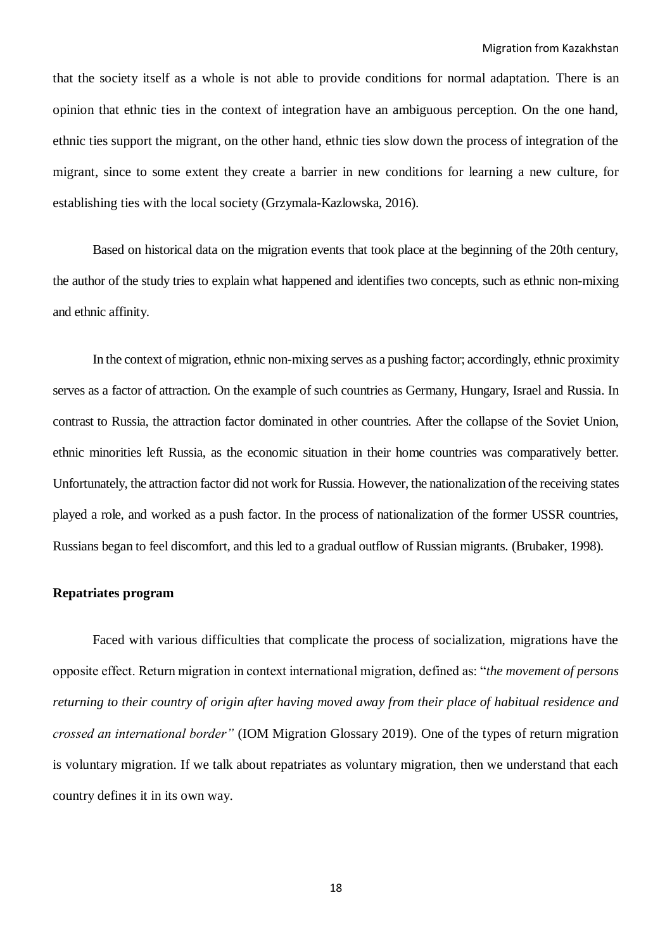that the society itself as a whole is not able to provide conditions for normal adaptation. There is an opinion that ethnic ties in the context of integration have an ambiguous perception. On the one hand, ethnic ties support the migrant, on the other hand, ethnic ties slow down the process of integration of the migrant, since to some extent they create a barrier in new conditions for learning a new culture, for establishing ties with the local society (Grzymala-Kazlowska, 2016).

Based on historical data on the migration events that took place at the beginning of the 20th century, the author of the study tries to explain what happened and identifies two concepts, such as ethnic non-mixing and ethnic affinity.

In the context of migration, ethnic non-mixing serves as a pushing factor; accordingly, ethnic proximity serves as a factor of attraction. On the example of such countries as Germany, Hungary, Israel and Russia. In contrast to Russia, the attraction factor dominated in other countries. After the collapse of the Soviet Union, ethnic minorities left Russia, as the economic situation in their home countries was comparatively better. Unfortunately, the attraction factor did not work for Russia. However, the nationalization of the receiving states played a role, and worked as a push factor. In the process of nationalization of the former USSR countries, Russians began to feel discomfort, and this led to a gradual outflow of Russian migrants. (Brubaker, 1998).

## **Repatriates program**

Faced with various difficulties that complicate the process of socialization, migrations have the opposite effect. Return migration in context international migration, defined as: "*the movement of persons returning to their country of origin after having moved away from their place of habitual residence and crossed an international border"* (IOM Migration Glossary 2019). One of the types of return migration is voluntary migration. If we talk about repatriates as voluntary migration, then we understand that each country defines it in its own way.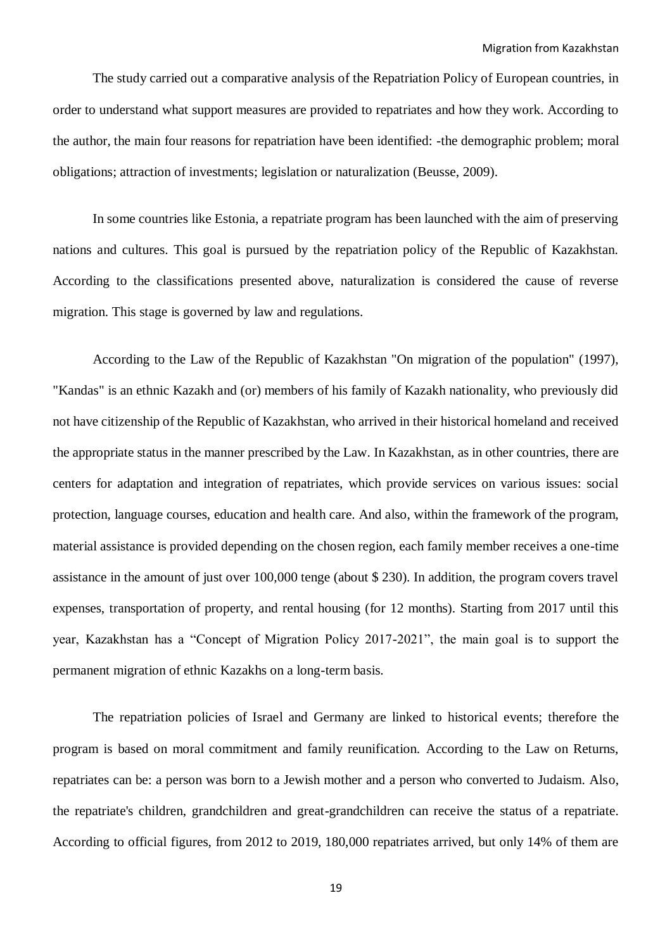The study carried out a comparative analysis of the Repatriation Policy of European countries, in order to understand what support measures are provided to repatriates and how they work. According to the author, the main four reasons for repatriation have been identified: -the demographic problem; moral obligations; attraction of investments; legislation or naturalization (Beusse, 2009).

In some countries like Estonia, a repatriate program has been launched with the aim of preserving nations and cultures. This goal is pursued by the repatriation policy of the Republic of Kazakhstan. According to the classifications presented above, naturalization is considered the cause of reverse migration. This stage is governed by law and regulations.

According to the Law of the Republic of Kazakhstan "On migration of the population" (1997), "Kandas" is an ethnic Kazakh and (or) members of his family of Kazakh nationality, who previously did not have citizenship of the Republic of Kazakhstan, who arrived in their historical homeland and received the appropriate status in the manner prescribed by the Law. In Kazakhstan, as in other countries, there are centers for adaptation and integration of repatriates, which provide services on various issues: social protection, language courses, education and health care. And also, within the framework of the program, material assistance is provided depending on the chosen region, each family member receives a one-time assistance in the amount of just over 100,000 tenge (about \$ 230). In addition, the program covers travel expenses, transportation of property, and rental housing (for 12 months). Starting from 2017 until this year, Kazakhstan has a "Concept of Migration Policy 2017-2021", the main goal is to support the permanent migration of ethnic Kazakhs on a long-term basis.

The repatriation policies of Israel and Germany are linked to historical events; therefore the program is based on moral commitment and family reunification. According to the Law on Returns, repatriates can be: a person was born to a Jewish mother and a person who converted to Judaism. Also, the repatriate's children, grandchildren and great-grandchildren can receive the status of a repatriate. According to official figures, from 2012 to 2019, 180,000 repatriates arrived, but only 14% of them are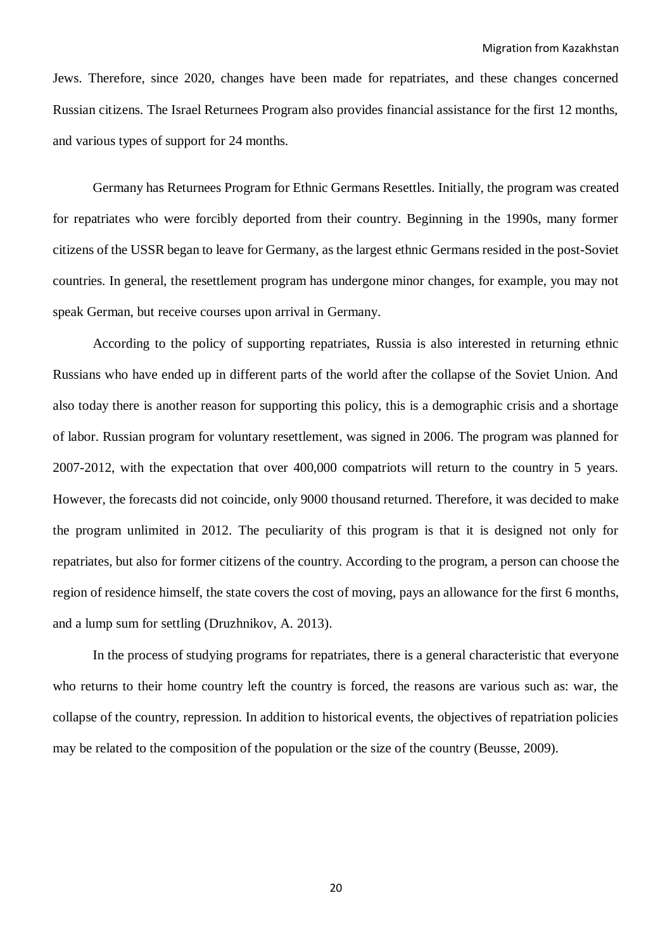Jews. Therefore, since 2020, changes have been made for repatriates, and these changes concerned Russian citizens. The Israel Returnees Program also provides financial assistance for the first 12 months, and various types of support for 24 months.

Germany has Returnees Program for Ethnic Germans Resettles. Initially, the program was created for repatriates who were forcibly deported from their country. Beginning in the 1990s, many former citizens of the USSR began to leave for Germany, as the largest ethnic Germans resided in the post-Soviet countries. In general, the resettlement program has undergone minor changes, for example, you may not speak German, but receive courses upon arrival in Germany.

According to the policy of supporting repatriates, Russia is also interested in returning ethnic Russians who have ended up in different parts of the world after the collapse of the Soviet Union. And also today there is another reason for supporting this policy, this is a demographic crisis and a shortage of labor. Russian program for voluntary resettlement, was signed in 2006. The program was planned for 2007-2012, with the expectation that over 400,000 compatriots will return to the country in 5 years. However, the forecasts did not coincide, only 9000 thousand returned. Therefore, it was decided to make the program unlimited in 2012. The peculiarity of this program is that it is designed not only for repatriates, but also for former citizens of the country. According to the program, a person can choose the region of residence himself, the state covers the cost of moving, pays an allowance for the first 6 months, and a lump sum for settling (Druzhnikov, A. 2013).

In the process of studying programs for repatriates, there is a general characteristic that everyone who returns to their home country left the country is forced, the reasons are various such as: war, the collapse of the country, repression. In addition to historical events, the objectives of repatriation policies may be related to the composition of the population or the size of the country (Beusse, 2009).

20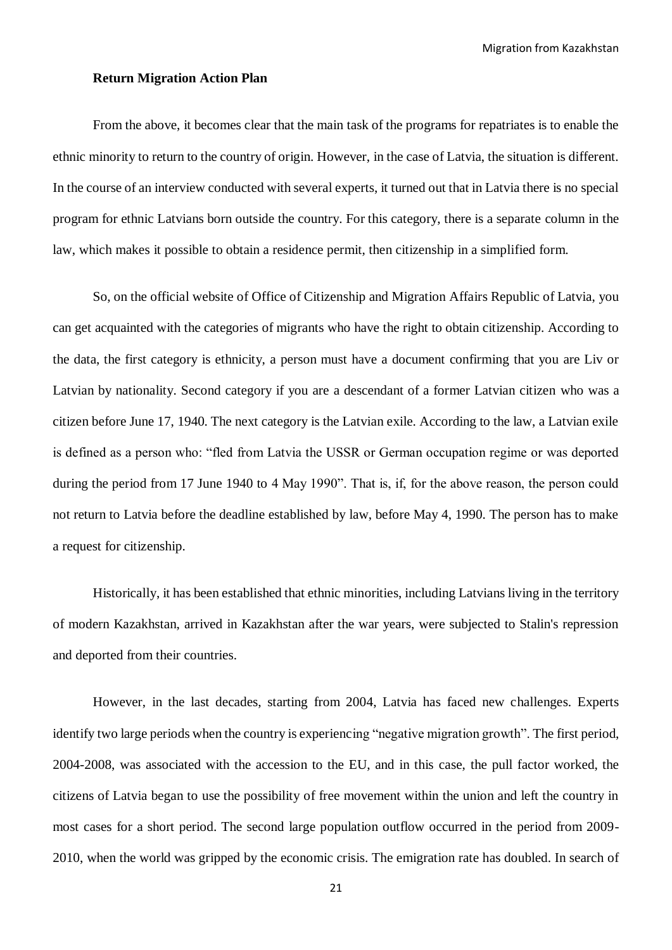Migration from Kazakhstan

#### **Return Migration Action Plan**

From the above, it becomes clear that the main task of the programs for repatriates is to enable the ethnic minority to return to the country of origin. However, in the case of Latvia, the situation is different. In the course of an interview conducted with several experts, it turned out that in Latvia there is no special program for ethnic Latvians born outside the country. For this category, there is a separate column in the law, which makes it possible to obtain a residence permit, then citizenship in a simplified form.

So, on the official website of Office of Citizenship and Migration Affairs Republic of Latvia, you can get acquainted with the categories of migrants who have the right to obtain citizenship. According to the data, the first category is ethnicity, a person must have a document confirming that you are Liv or Latvian by nationality. Second category if you are a descendant of a former Latvian citizen who was a citizen before June 17, 1940. The next category is the Latvian exile. According to the law, a Latvian exile is defined as a person who: "fled from Latvia the USSR or German occupation regime or was deported during the period from 17 June 1940 to 4 May 1990". That is, if, for the above reason, the person could not return to Latvia before the deadline established by law, before May 4, 1990. The person has to make a request for citizenship.

Historically, it has been established that ethnic minorities, including Latvians living in the territory of modern Kazakhstan, arrived in Kazakhstan after the war years, were subjected to Stalin's repression and deported from their countries.

However, in the last decades, starting from 2004, Latvia has faced new challenges. Experts identify two large periods when the country is experiencing "negative migration growth". The first period, 2004-2008, was associated with the accession to the EU, and in this case, the pull factor worked, the citizens of Latvia began to use the possibility of free movement within the union and left the country in most cases for a short period. The second large population outflow occurred in the period from 2009- 2010, when the world was gripped by the economic crisis. The emigration rate has doubled. In search of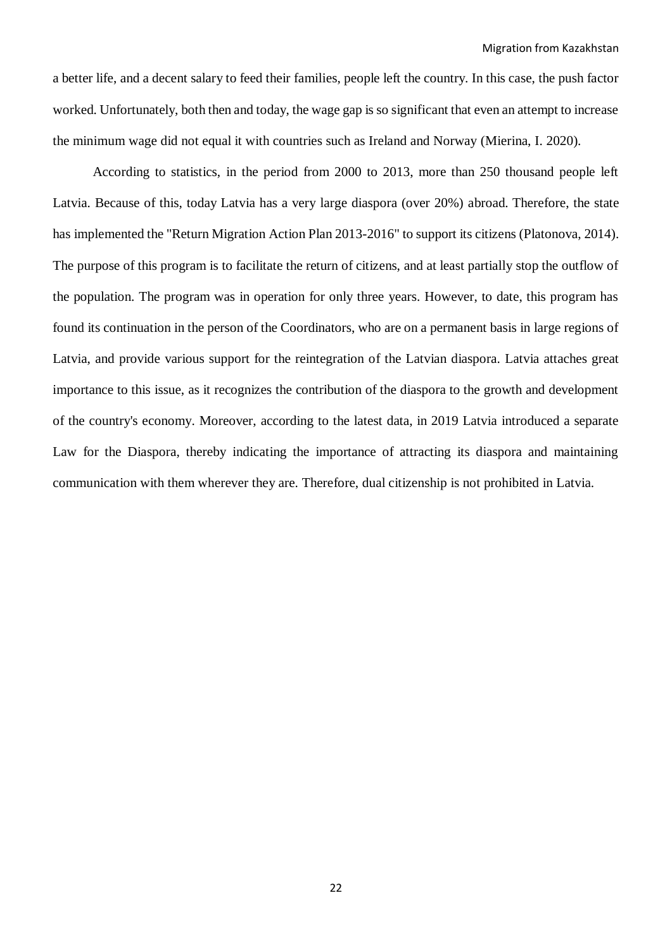a better life, and a decent salary to feed their families, people left the country. In this case, the push factor worked. Unfortunately, both then and today, the wage gap is so significant that even an attempt to increase the minimum wage did not equal it with countries such as Ireland and Norway (Mierina, I. 2020).

According to statistics, in the period from 2000 to 2013, more than 250 thousand people left Latvia. Because of this, today Latvia has a very large diaspora (over 20%) abroad. Therefore, the state has implemented the "Return Migration Action Plan 2013-2016" to support its citizens (Platonova, 2014). The purpose of this program is to facilitate the return of citizens, and at least partially stop the outflow of the population. The program was in operation for only three years. However, to date, this program has found its continuation in the person of the Coordinators, who are on a permanent basis in large regions of Latvia, and provide various support for the reintegration of the Latvian diaspora. Latvia attaches great importance to this issue, as it recognizes the contribution of the diaspora to the growth and development of the country's economy. Moreover, according to the latest data, in 2019 Latvia introduced a separate Law for the Diaspora, thereby indicating the importance of attracting its diaspora and maintaining communication with them wherever they are. Therefore, dual citizenship is not prohibited in Latvia.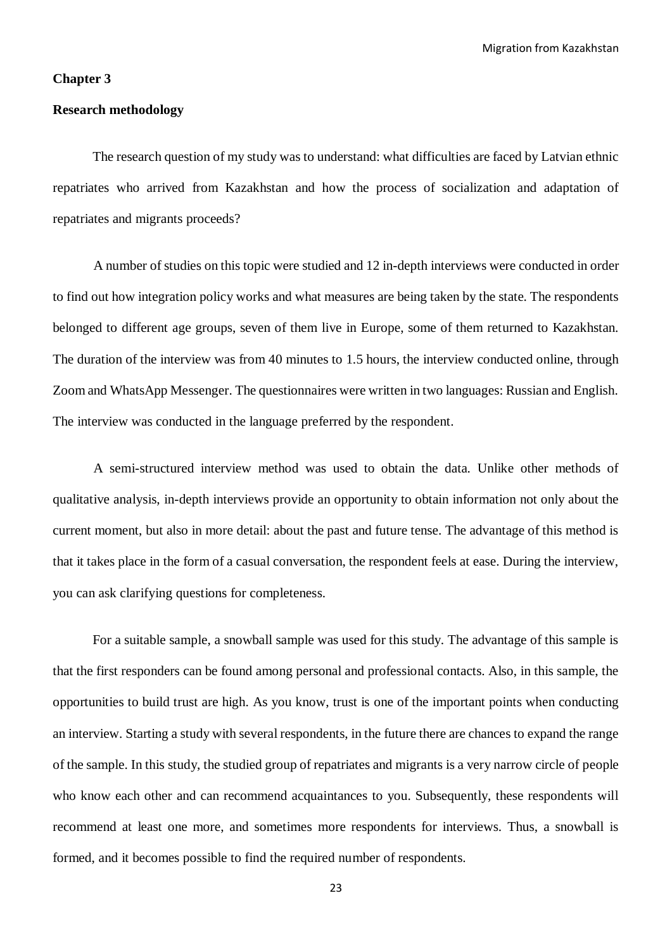Migration from Kazakhstan

#### **Chapter 3**

#### **Research methodology**

The research question of my study was to understand: what difficulties are faced by Latvian ethnic repatriates who arrived from Kazakhstan and how the process of socialization and adaptation of repatriates and migrants proceeds?

A number of studies on this topic were studied and 12 in-depth interviews were conducted in order to find out how integration policy works and what measures are being taken by the state. The respondents belonged to different age groups, seven of them live in Europe, some of them returned to Kazakhstan. The duration of the interview was from 40 minutes to 1.5 hours, the interview conducted online, through Zoom and WhatsApp Messenger. The questionnaires were written in two languages: Russian and English. The interview was conducted in the language preferred by the respondent.

A semi-structured interview method was used to obtain the data. Unlike other methods of qualitative analysis, in-depth interviews provide an opportunity to obtain information not only about the current moment, but also in more detail: about the past and future tense. The advantage of this method is that it takes place in the form of a casual conversation, the respondent feels at ease. During the interview, you can ask clarifying questions for completeness.

For a suitable sample, a snowball sample was used for this study. The advantage of this sample is that the first responders can be found among personal and professional contacts. Also, in this sample, the opportunities to build trust are high. As you know, trust is one of the important points when conducting an interview. Starting a study with several respondents, in the future there are chances to expand the range of the sample. In this study, the studied group of repatriates and migrants is a very narrow circle of people who know each other and can recommend acquaintances to you. Subsequently, these respondents will recommend at least one more, and sometimes more respondents for interviews. Thus, a snowball is formed, and it becomes possible to find the required number of respondents.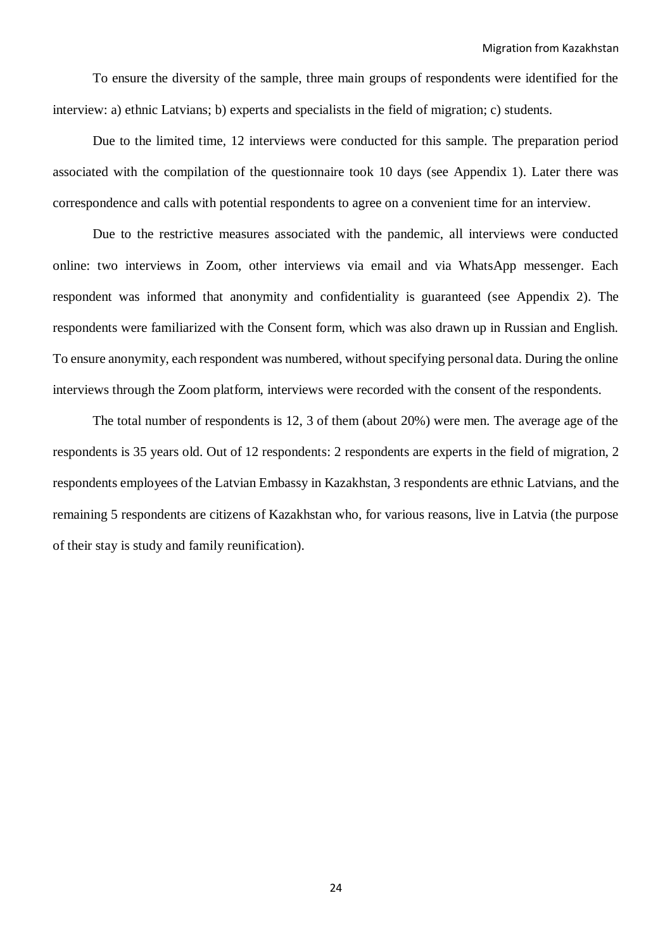To ensure the diversity of the sample, three main groups of respondents were identified for the interview: a) ethnic Latvians; b) experts and specialists in the field of migration; c) students.

Due to the limited time, 12 interviews were conducted for this sample. The preparation period associated with the compilation of the questionnaire took 10 days (see Appendix 1). Later there was correspondence and calls with potential respondents to agree on a convenient time for an interview.

Due to the restrictive measures associated with the pandemic, all interviews were conducted online: two interviews in Zoom, other interviews via email and via WhatsApp messenger. Each respondent was informed that anonymity and confidentiality is guaranteed (see Appendix 2). The respondents were familiarized with the Consent form, which was also drawn up in Russian and English. To ensure anonymity, each respondent was numbered, without specifying personal data. During the online interviews through the Zoom platform, interviews were recorded with the consent of the respondents.

The total number of respondents is 12, 3 of them (about 20%) were men. The average age of the respondents is 35 years old. Out of 12 respondents: 2 respondents are experts in the field of migration, 2 respondents employees of the Latvian Embassy in Kazakhstan, 3 respondents are ethnic Latvians, and the remaining 5 respondents are citizens of Kazakhstan who, for various reasons, live in Latvia (the purpose of their stay is study and family reunification).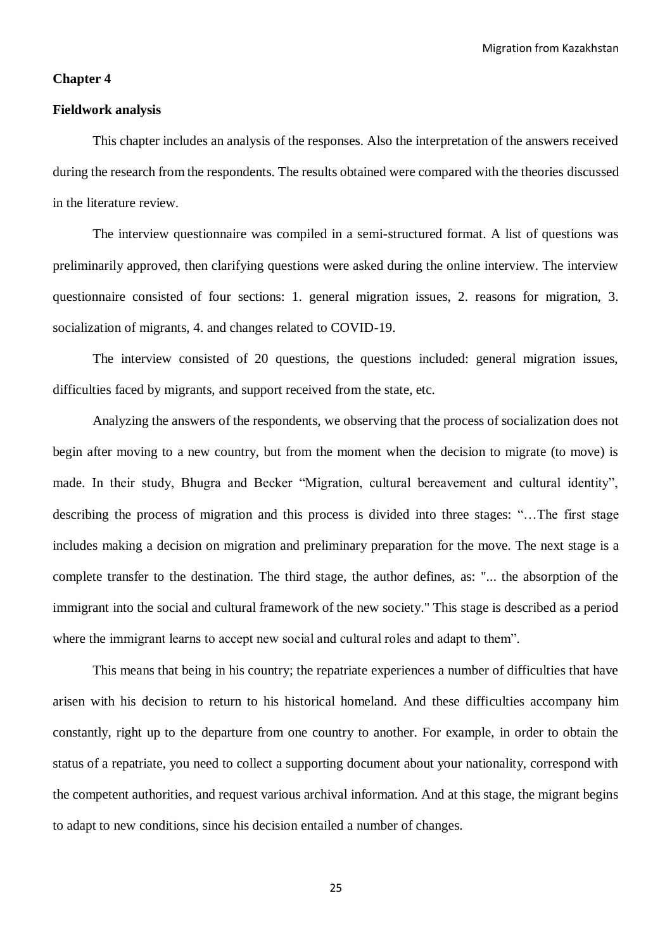Migration from Kazakhstan

#### **Chapter 4**

### **Fieldwork analysis**

This chapter includes an analysis of the responses. Also the interpretation of the answers received during the research from the respondents. The results obtained were compared with the theories discussed in the literature review.

The interview questionnaire was compiled in a semi-structured format. A list of questions was preliminarily approved, then clarifying questions were asked during the online interview. The interview questionnaire consisted of four sections: 1. general migration issues, 2. reasons for migration, 3. socialization of migrants, 4. and changes related to COVID-19.

The interview consisted of 20 questions, the questions included: general migration issues, difficulties faced by migrants, and support received from the state, etc.

Analyzing the answers of the respondents, we observing that the process of socialization does not begin after moving to a new country, but from the moment when the decision to migrate (to move) is made. In their study, Bhugra and Becker "Migration, cultural bereavement and cultural identity", describing the process of migration and this process is divided into three stages: "…The first stage includes making a decision on migration and preliminary preparation for the move. The next stage is a complete transfer to the destination. The third stage, the author defines, as: "... the absorption of the immigrant into the social and cultural framework of the new society." This stage is described as a period where the immigrant learns to accept new social and cultural roles and adapt to them".

This means that being in his country; the repatriate experiences a number of difficulties that have arisen with his decision to return to his historical homeland. And these difficulties accompany him constantly, right up to the departure from one country to another. For example, in order to obtain the status of a repatriate, you need to collect a supporting document about your nationality, correspond with the competent authorities, and request various archival information. And at this stage, the migrant begins to adapt to new conditions, since his decision entailed a number of changes.

25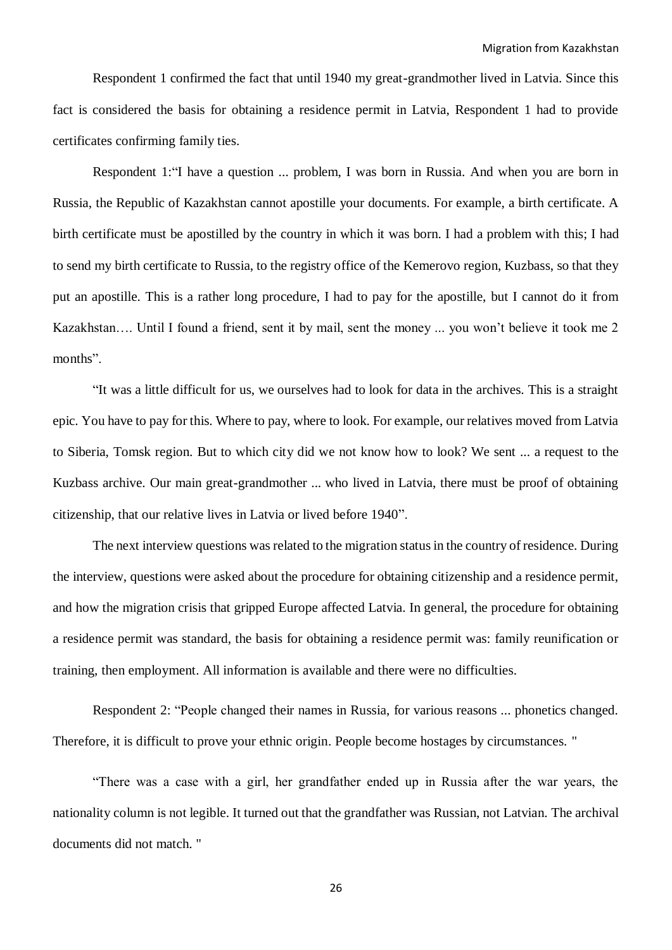Respondent 1 confirmed the fact that until 1940 my great-grandmother lived in Latvia. Since this fact is considered the basis for obtaining a residence permit in Latvia, Respondent 1 had to provide certificates confirming family ties.

Respondent 1:"I have a question ... problem, I was born in Russia. And when you are born in Russia, the Republic of Kazakhstan cannot apostille your documents. For example, a birth certificate. A birth certificate must be apostilled by the country in which it was born. I had a problem with this; I had to send my birth certificate to Russia, to the registry office of the Kemerovo region, Kuzbass, so that they put an apostille. This is a rather long procedure, I had to pay for the apostille, but I cannot do it from Kazakhstan…. Until I found a friend, sent it by mail, sent the money ... you won't believe it took me 2 months".

"It was a little difficult for us, we ourselves had to look for data in the archives. This is a straight epic. You have to pay for this. Where to pay, where to look. For example, our relatives moved from Latvia to Siberia, Tomsk region. But to which city did we not know how to look? We sent ... a request to the Kuzbass archive. Our main great-grandmother ... who lived in Latvia, there must be proof of obtaining citizenship, that our relative lives in Latvia or lived before 1940".

The next interview questions was related to the migration status in the country of residence. During the interview, questions were asked about the procedure for obtaining citizenship and a residence permit, and how the migration crisis that gripped Europe affected Latvia. In general, the procedure for obtaining a residence permit was standard, the basis for obtaining a residence permit was: family reunification or training, then employment. All information is available and there were no difficulties.

Respondent 2: "People changed their names in Russia, for various reasons ... phonetics changed. Therefore, it is difficult to prove your ethnic origin. People become hostages by circumstances. "

"There was a case with a girl, her grandfather ended up in Russia after the war years, the nationality column is not legible. It turned out that the grandfather was Russian, not Latvian. The archival documents did not match. "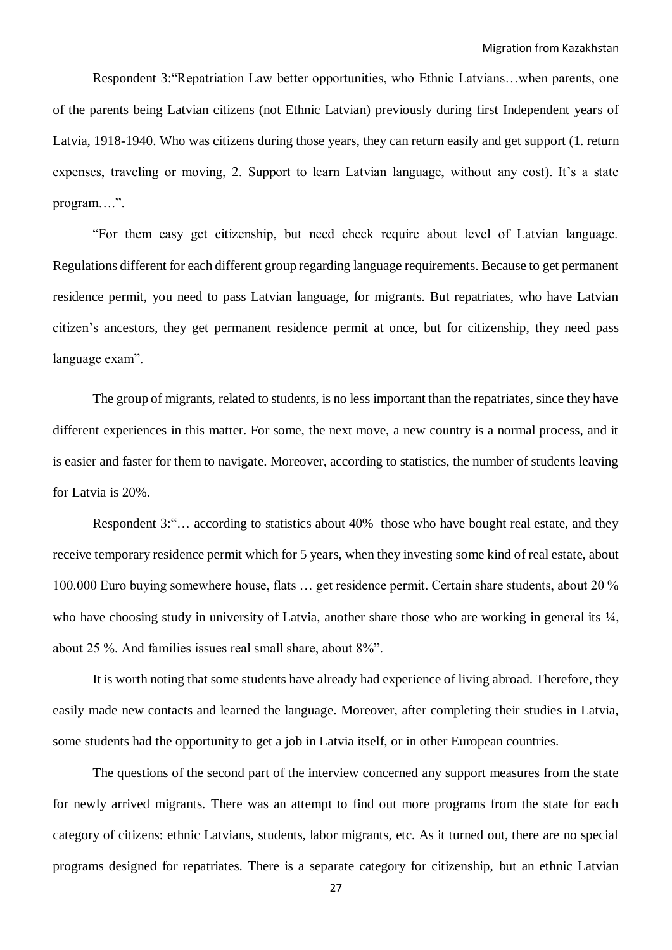Respondent 3:"Repatriation Law better opportunities, who Ethnic Latvians…when parents, one of the parents being Latvian citizens (not Ethnic Latvian) previously during first Independent years of Latvia, 1918-1940. Who was citizens during those years, they can return easily and get support (1. return expenses, traveling or moving, 2. Support to learn Latvian language, without any cost). It's a state program….".

"For them easy get citizenship, but need check require about level of Latvian language. Regulations different for each different group regarding language requirements. Because to get permanent residence permit, you need to pass Latvian language, for migrants. But repatriates, who have Latvian citizen's ancestors, they get permanent residence permit at once, but for citizenship, they need pass language exam".

The group of migrants, related to students, is no less important than the repatriates, since they have different experiences in this matter. For some, the next move, a new country is a normal process, and it is easier and faster for them to navigate. Moreover, according to statistics, the number of students leaving for Latvia is 20%.

Respondent 3:"… according to statistics about 40% those who have bought real estate, and they receive temporary residence permit which for 5 years, when they investing some kind of real estate, about 100.000 Euro buying somewhere house, flats … get residence permit. Certain share students, about 20 % who have choosing study in university of Latvia, another share those who are working in general its  $\frac{1}{4}$ , about 25 %. And families issues real small share, about 8%".

It is worth noting that some students have already had experience of living abroad. Therefore, they easily made new contacts and learned the language. Moreover, after completing their studies in Latvia, some students had the opportunity to get a job in Latvia itself, or in other European countries.

The questions of the second part of the interview concerned any support measures from the state for newly arrived migrants. There was an attempt to find out more programs from the state for each category of citizens: ethnic Latvians, students, labor migrants, etc. As it turned out, there are no special programs designed for repatriates. There is a separate category for citizenship, but an ethnic Latvian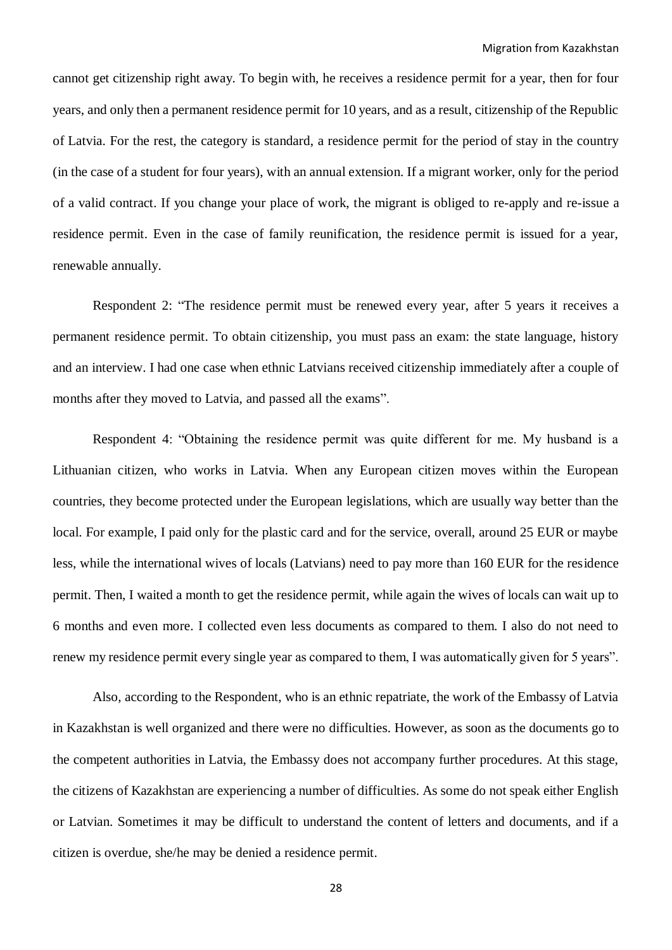cannot get citizenship right away. To begin with, he receives a residence permit for a year, then for four years, and only then a permanent residence permit for 10 years, and as a result, citizenship of the Republic of Latvia. For the rest, the category is standard, a residence permit for the period of stay in the country (in the case of a student for four years), with an annual extension. If a migrant worker, only for the period of a valid contract. If you change your place of work, the migrant is obliged to re-apply and re-issue a residence permit. Even in the case of family reunification, the residence permit is issued for a year, renewable annually.

Respondent 2: "The residence permit must be renewed every year, after 5 years it receives a permanent residence permit. To obtain citizenship, you must pass an exam: the state language, history and an interview. I had one case when ethnic Latvians received citizenship immediately after a couple of months after they moved to Latvia, and passed all the exams".

Respondent 4: "Obtaining the residence permit was quite different for me. My husband is a Lithuanian citizen, who works in Latvia. When any European citizen moves within the European countries, they become protected under the European legislations, which are usually way better than the local. For example, I paid only for the plastic card and for the service, overall, around 25 EUR or maybe less, while the international wives of locals (Latvians) need to pay more than 160 EUR for the residence permit. Then, I waited a month to get the residence permit, while again the wives of locals can wait up to 6 months and even more. I collected even less documents as compared to them. I also do not need to renew my residence permit every single year as compared to them, I was automatically given for 5 years".

Also, according to the Respondent, who is an ethnic repatriate, the work of the Embassy of Latvia in Kazakhstan is well organized and there were no difficulties. However, as soon as the documents go to the competent authorities in Latvia, the Embassy does not accompany further procedures. At this stage, the citizens of Kazakhstan are experiencing a number of difficulties. As some do not speak either English or Latvian. Sometimes it may be difficult to understand the content of letters and documents, and if a citizen is overdue, she/he may be denied a residence permit*.*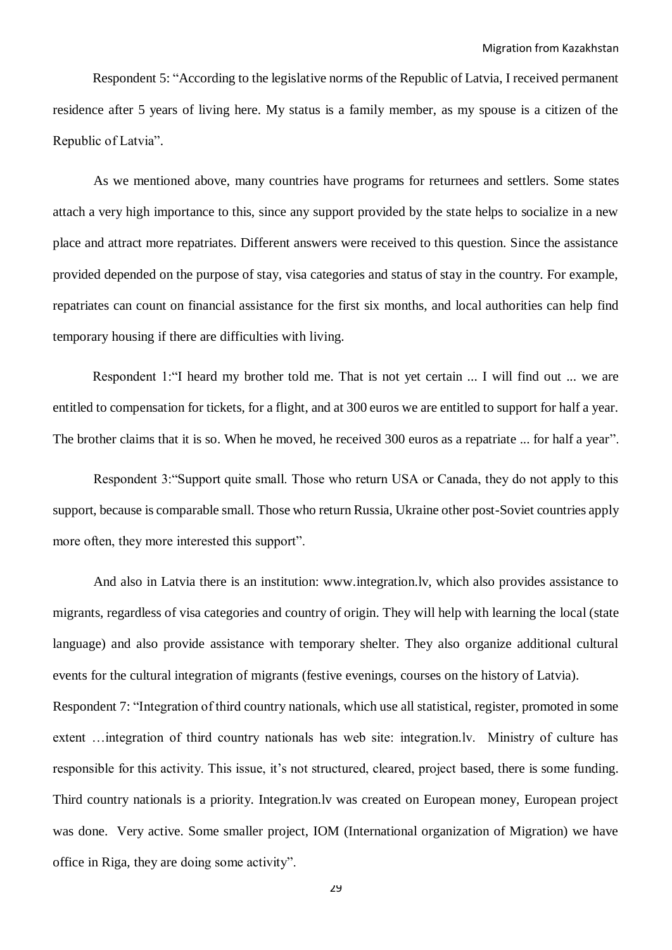Respondent 5: "According to the legislative norms of the Republic of Latvia, I received permanent residence after 5 years of living here. My status is a family member, as my spouse is a citizen of the Republic of Latvia".

As we mentioned above, many countries have programs for returnees and settlers. Some states attach a very high importance to this, since any support provided by the state helps to socialize in a new place and attract more repatriates. Different answers were received to this question. Since the assistance provided depended on the purpose of stay, visa categories and status of stay in the country. For example, repatriates can count on financial assistance for the first six months, and local authorities can help find temporary housing if there are difficulties with living.

Respondent 1:"I heard my brother told me. That is not yet certain ... I will find out ... we are entitled to compensation for tickets, for a flight, and at 300 euros we are entitled to support for half a year. The brother claims that it is so. When he moved, he received 300 euros as a repatriate ... for half a year".

Respondent 3:"Support quite small. Those who return USA or Canada, they do not apply to this support, because is comparable small. Those who return Russia, Ukraine other post-Soviet countries apply more often, they more interested this support".

And also in Latvia there is an institution: www.integration.lv, which also provides assistance to migrants, regardless of visa categories and country of origin. They will help with learning the local (state language) and also provide assistance with temporary shelter. They also organize additional cultural events for the cultural integration of migrants (festive evenings, courses on the history of Latvia). Respondent 7: "Integration of third country nationals, which use all statistical, register, promoted in some extent …integration of third country nationals has web site: integration.lv. Ministry of culture has responsible for this activity. This issue, it's not structured, cleared, project based, there is some funding. Third country nationals is a priority. Integration.lv was created on European money, European project was done. Very active. Some smaller project, IOM (International organization of Migration) we have office in Riga, they are doing some activity".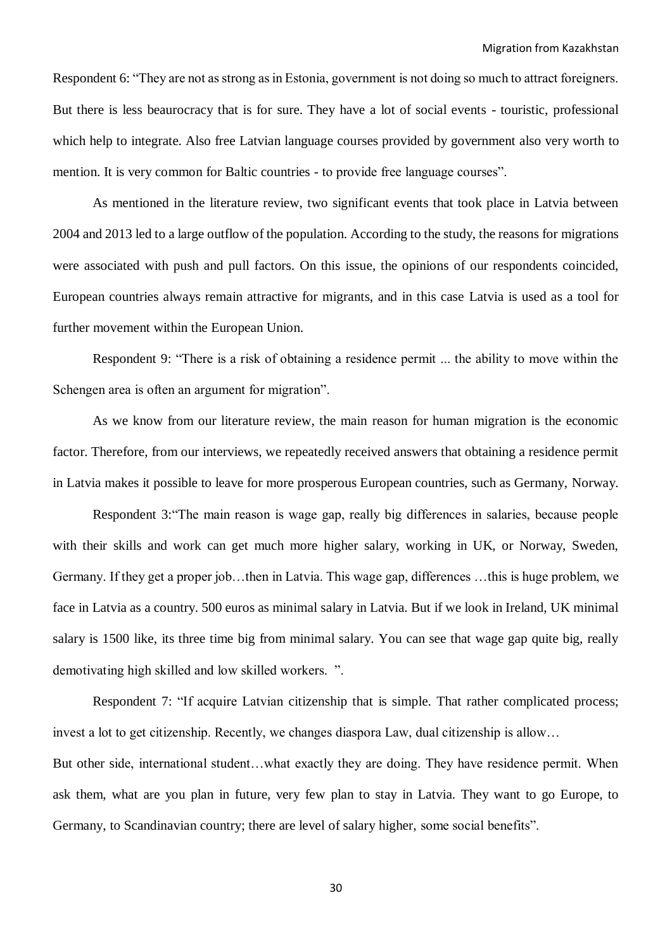Respondent 6: "They are not as strong as in Estonia, government is not doing so much to attract foreigners. But there is less beaurocracy that is for sure. They have a lot of social events - touristic, professional which help to integrate. Also free Latvian language courses provided by government also very worth to mention. It is very common for Baltic countries - to provide free language courses".

As mentioned in the literature review, two significant events that took place in Latvia between 2004 and 2013 led to a large outflow of the population. According to the study, the reasons for migrations were associated with push and pull factors. On this issue, the opinions of our respondents coincided, European countries always remain attractive for migrants, and in this case Latvia is used as a tool for further movement within the European Union.

Respondent 9: "There is a risk of obtaining a residence permit ... the ability to move within the Schengen area is often an argument for migration".

As we know from our literature review, the main reason for human migration is the economic factor. Therefore, from our interviews, we repeatedly received answers that obtaining a residence permit in Latvia makes it possible to leave for more prosperous European countries, such as Germany, Norway.

Respondent 3:"The main reason is wage gap, really big differences in salaries, because people with their skills and work can get much more higher salary, working in UK, or Norway, Sweden, Germany. If they get a proper job…then in Latvia. This wage gap, differences …this is huge problem, we face in Latvia as a country. 500 euros as minimal salary in Latvia. But if we look in Ireland, UK minimal salary is 1500 like, its three time big from minimal salary. You can see that wage gap quite big, really demotivating high skilled and low skilled workers. ".

Respondent 7: "If acquire Latvian citizenship that is simple. That rather complicated process; invest a lot to get citizenship. Recently, we changes diaspora Law, dual citizenship is allow… But other side, international student…what exactly they are doing. They have residence permit. When ask them, what are you plan in future, very few plan to stay in Latvia. They want to go Europe, to Germany, to Scandinavian country; there are level of salary higher, some social benefits".

30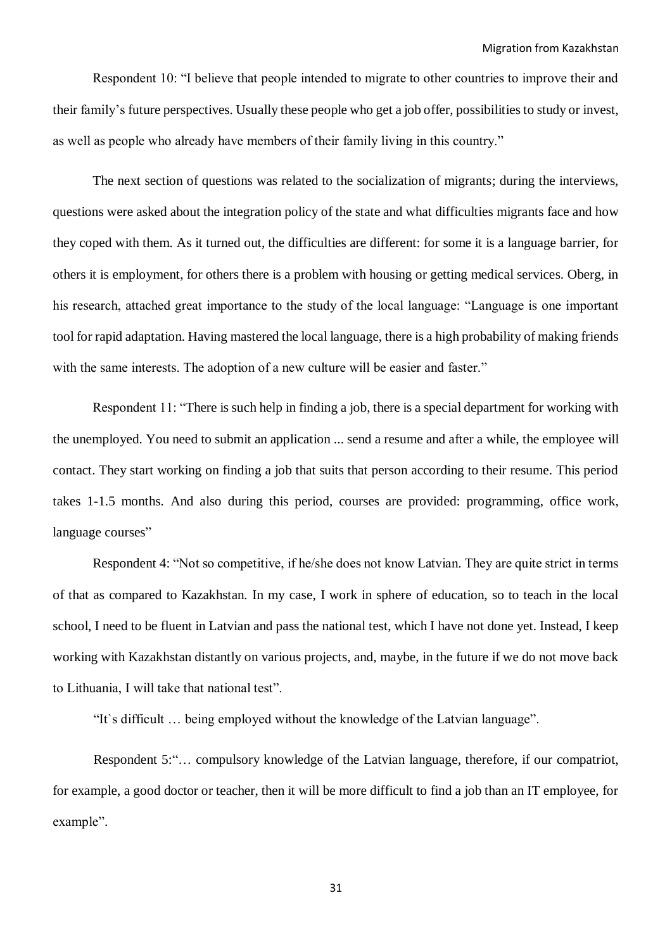Respondent 10: "I believe that people intended to migrate to other countries to improve their and their family's future perspectives. Usually these people who get a job offer, possibilities to study or invest, as well as people who already have members of their family living in this country."

The next section of questions was related to the socialization of migrants; during the interviews, questions were asked about the integration policy of the state and what difficulties migrants face and how they coped with them. As it turned out, the difficulties are different: for some it is a language barrier, for others it is employment, for others there is a problem with housing or getting medical services. Oberg, in his research, attached great importance to the study of the local language: "Language is one important tool for rapid adaptation. Having mastered the local language, there is a high probability of making friends with the same interests. The adoption of a new culture will be easier and faster."

Respondent 11: "There is such help in finding a job, there is a special department for working with the unemployed. You need to submit an application ... send a resume and after a while, the employee will contact. They start working on finding a job that suits that person according to their resume. This period takes 1-1.5 months. And also during this period, courses are provided: programming, office work, language courses"

Respondent 4: "Not so competitive, if he/she does not know Latvian. They are quite strict in terms of that as compared to Kazakhstan. In my case, I work in sphere of education, so to teach in the local school, I need to be fluent in Latvian and pass the national test, which I have not done yet. Instead, I keep working with Kazakhstan distantly on various projects, and, maybe, in the future if we do not move back to Lithuania, I will take that national test".

"It`s difficult … being employed without the knowledge of the Latvian language".

Respondent 5:"… compulsory knowledge of the Latvian language, therefore, if our compatriot, for example, a good doctor or teacher, then it will be more difficult to find a job than an IT employee, for example".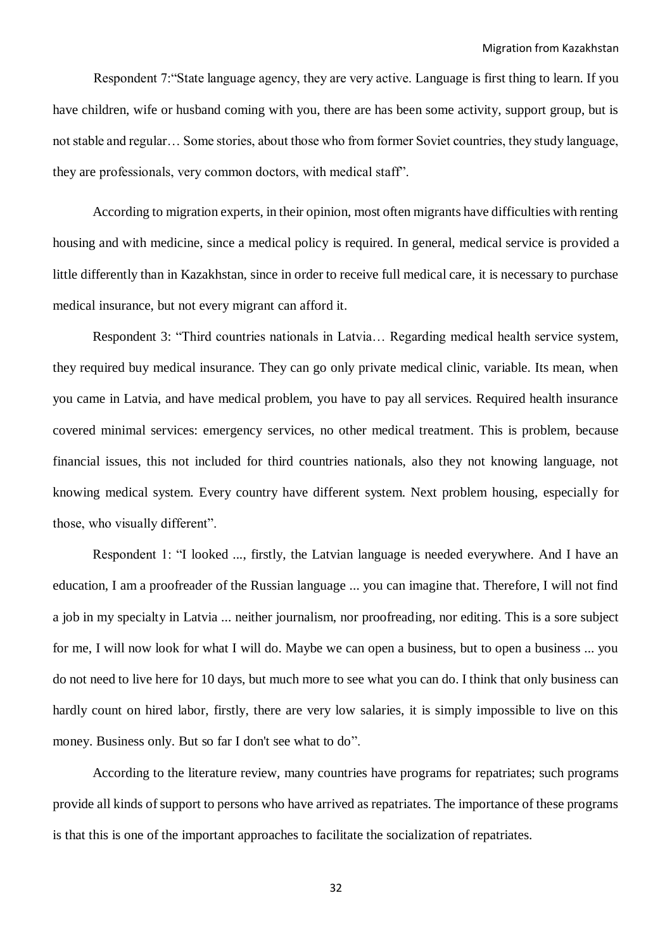Respondent 7:"State language agency, they are very active. Language is first thing to learn. If you have children, wife or husband coming with you, there are has been some activity, support group, but is not stable and regular… Some stories, about those who from former Soviet countries, they study language, they are professionals, very common doctors, with medical staff".

According to migration experts, in their opinion, most often migrants have difficulties with renting housing and with medicine, since a medical policy is required. In general, medical service is provided a little differently than in Kazakhstan, since in order to receive full medical care, it is necessary to purchase medical insurance, but not every migrant can afford it.

Respondent 3: "Third countries nationals in Latvia… Regarding medical health service system, they required buy medical insurance. They can go only private medical clinic, variable. Its mean, when you came in Latvia, and have medical problem, you have to pay all services. Required health insurance covered minimal services: emergency services, no other medical treatment. This is problem, because financial issues, this not included for third countries nationals, also they not knowing language, not knowing medical system. Every country have different system. Next problem housing, especially for those, who visually different".

Respondent 1: "I looked ..., firstly, the Latvian language is needed everywhere. And I have an education, I am a proofreader of the Russian language ... you can imagine that. Therefore, I will not find a job in my specialty in Latvia ... neither journalism, nor proofreading, nor editing. This is a sore subject for me, I will now look for what I will do. Maybe we can open a business, but to open a business ... you do not need to live here for 10 days, but much more to see what you can do. I think that only business can hardly count on hired labor, firstly, there are very low salaries, it is simply impossible to live on this money. Business only. But so far I don't see what to do".

According to the literature review, many countries have programs for repatriates; such programs provide all kinds of support to persons who have arrived as repatriates. The importance of these programs is that this is one of the important approaches to facilitate the socialization of repatriates.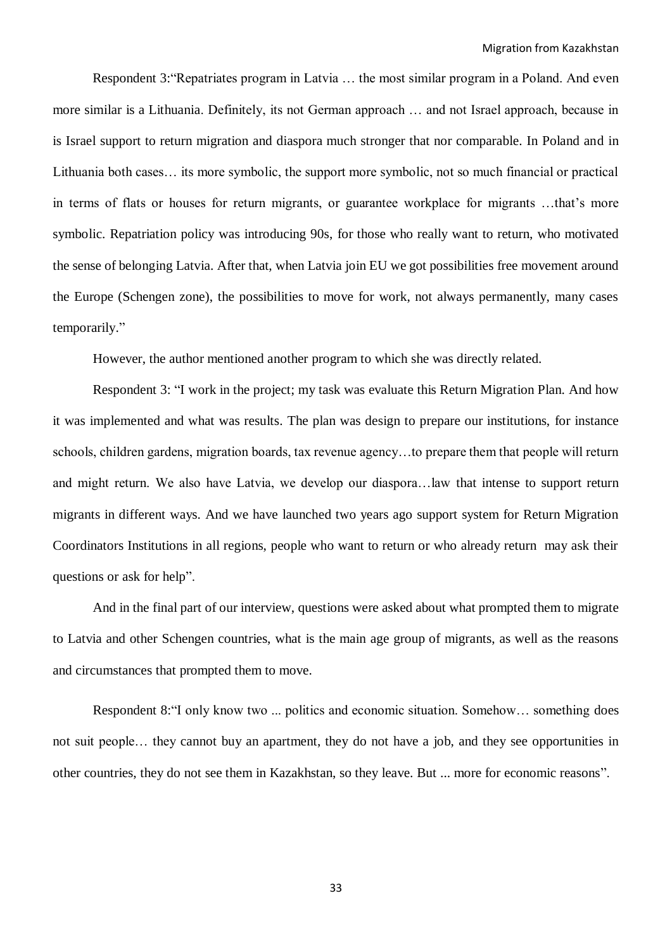Respondent 3:"Repatriates program in Latvia … the most similar program in a Poland. And even more similar is a Lithuania. Definitely, its not German approach … and not Israel approach, because in is Israel support to return migration and diaspora much stronger that nor comparable. In Poland and in Lithuania both cases… its more symbolic, the support more symbolic, not so much financial or practical in terms of flats or houses for return migrants, or guarantee workplace for migrants …that's more symbolic. Repatriation policy was introducing 90s, for those who really want to return, who motivated the sense of belonging Latvia. After that, when Latvia join EU we got possibilities free movement around the Europe (Schengen zone), the possibilities to move for work, not always permanently, many cases temporarily."

However, the author mentioned another program to which she was directly related.

Respondent 3: "I work in the project; my task was evaluate this Return Migration Plan. And how it was implemented and what was results. The plan was design to prepare our institutions, for instance schools, children gardens, migration boards, tax revenue agency…to prepare them that people will return and might return. We also have Latvia, we develop our diaspora…law that intense to support return migrants in different ways. And we have launched two years ago support system for Return Migration Coordinators Institutions in all regions, people who want to return or who already return may ask their questions or ask for help".

And in the final part of our interview, questions were asked about what prompted them to migrate to Latvia and other Schengen countries, what is the main age group of migrants, as well as the reasons and circumstances that prompted them to move.

Respondent 8:"I only know two ... politics and economic situation. Somehow… something does not suit people… they cannot buy an apartment, they do not have a job, and they see opportunities in other countries, they do not see them in Kazakhstan, so they leave. But ... more for economic reasons".

33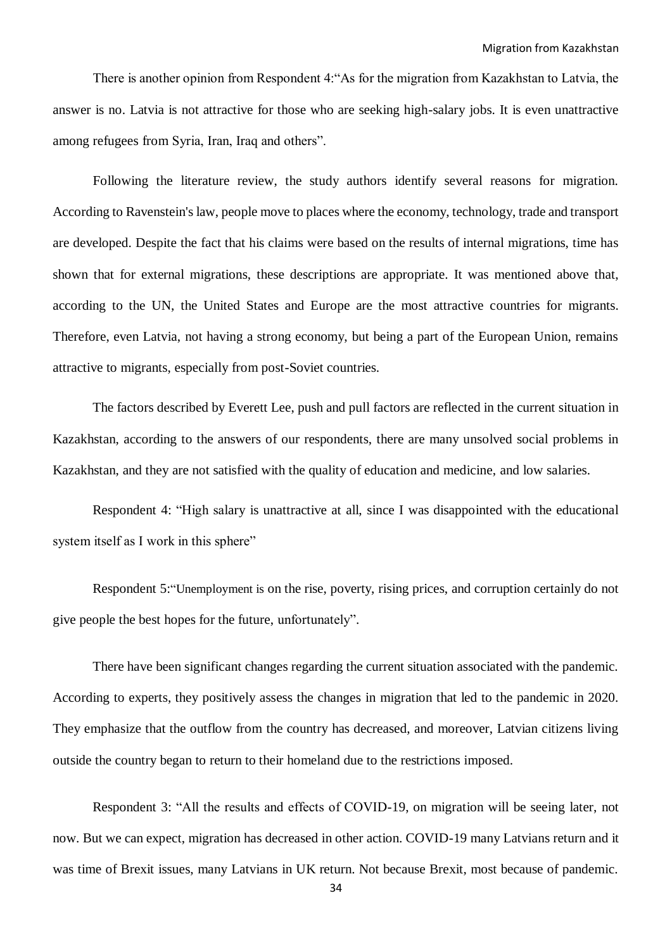There is another opinion from Respondent 4:"As for the migration from Kazakhstan to Latvia, the answer is no. Latvia is not attractive for those who are seeking high-salary jobs. It is even unattractive among refugees from Syria, Iran, Iraq and others".

Following the literature review, the study authors identify several reasons for migration. According to Ravenstein's law, people move to places where the economy, technology, trade and transport are developed. Despite the fact that his claims were based on the results of internal migrations, time has shown that for external migrations, these descriptions are appropriate. It was mentioned above that, according to the UN, the United States and Europe are the most attractive countries for migrants. Therefore, even Latvia, not having a strong economy, but being a part of the European Union, remains attractive to migrants, especially from post-Soviet countries.

The factors described by Everett Lee, push and pull factors are reflected in the current situation in Kazakhstan, according to the answers of our respondents, there are many unsolved social problems in Kazakhstan, and they are not satisfied with the quality of education and medicine, and low salaries.

Respondent 4: "High salary is unattractive at all, since I was disappointed with the educational system itself as I work in this sphere"

Respondent 5:"Unemployment is on the rise, poverty, rising prices, and corruption certainly do not give people the best hopes for the future, unfortunately".

There have been significant changes regarding the current situation associated with the pandemic. According to experts, they positively assess the changes in migration that led to the pandemic in 2020. They emphasize that the outflow from the country has decreased, and moreover, Latvian citizens living outside the country began to return to their homeland due to the restrictions imposed.

Respondent 3: "All the results and effects of COVID-19, on migration will be seeing later, not now. But we can expect, migration has decreased in other action. COVID-19 many Latvians return and it was time of Brexit issues, many Latvians in UK return. Not because Brexit, most because of pandemic.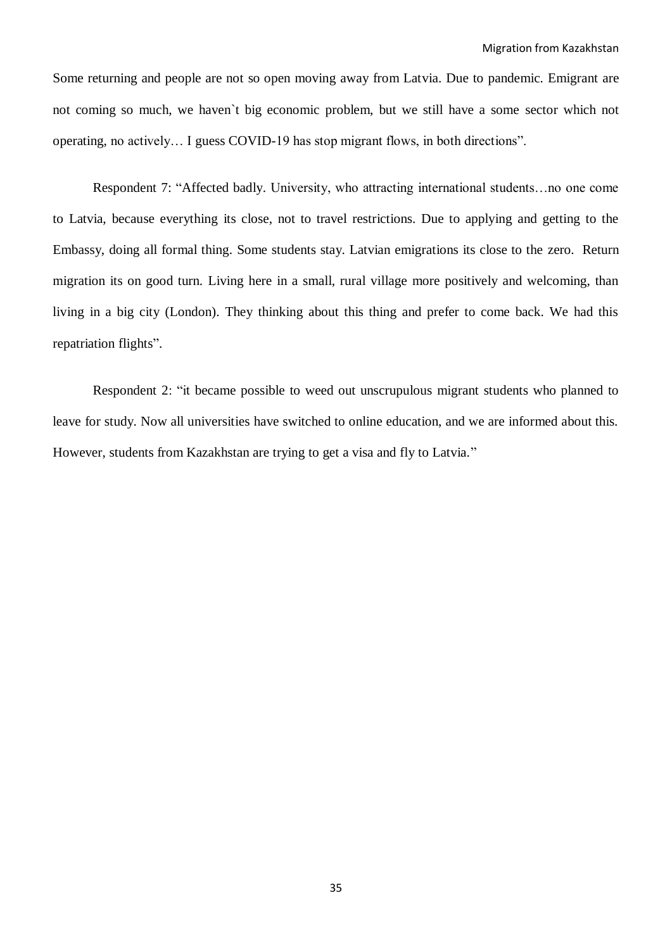Some returning and people are not so open moving away from Latvia. Due to pandemic. Emigrant are not coming so much, we haven`t big economic problem, but we still have a some sector which not operating, no actively… I guess COVID-19 has stop migrant flows, in both directions".

Respondent 7: "Affected badly. University, who attracting international students…no one come to Latvia, because everything its close, not to travel restrictions. Due to applying and getting to the Embassy, doing all formal thing. Some students stay. Latvian emigrations its close to the zero. Return migration its on good turn. Living here in a small, rural village more positively and welcoming, than living in a big city (London). They thinking about this thing and prefer to come back. We had this repatriation flights".

Respondent 2: "it became possible to weed out unscrupulous migrant students who planned to leave for study. Now all universities have switched to online education, and we are informed about this. However, students from Kazakhstan are trying to get a visa and fly to Latvia."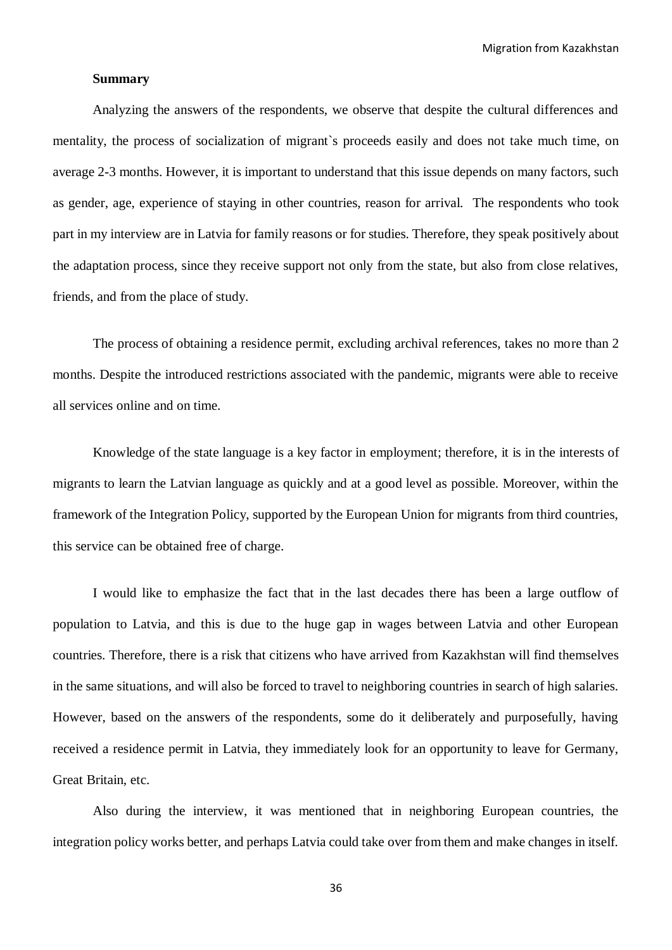Migration from Kazakhstan

#### **Summary**

Analyzing the answers of the respondents, we observe that despite the cultural differences and mentality, the process of socialization of migrant`s proceeds easily and does not take much time, on average 2-3 months. However, it is important to understand that this issue depends on many factors, such as gender, age, experience of staying in other countries, reason for arrival. The respondents who took part in my interview are in Latvia for family reasons or for studies. Therefore, they speak positively about the adaptation process, since they receive support not only from the state, but also from close relatives, friends, and from the place of study.

The process of obtaining a residence permit, excluding archival references, takes no more than 2 months. Despite the introduced restrictions associated with the pandemic, migrants were able to receive all services online and on time.

Knowledge of the state language is a key factor in employment; therefore, it is in the interests of migrants to learn the Latvian language as quickly and at a good level as possible. Moreover, within the framework of the Integration Policy, supported by the European Union for migrants from third countries, this service can be obtained free of charge.

I would like to emphasize the fact that in the last decades there has been a large outflow of population to Latvia, and this is due to the huge gap in wages between Latvia and other European countries. Therefore, there is a risk that citizens who have arrived from Kazakhstan will find themselves in the same situations, and will also be forced to travel to neighboring countries in search of high salaries. However, based on the answers of the respondents, some do it deliberately and purposefully, having received a residence permit in Latvia, they immediately look for an opportunity to leave for Germany, Great Britain, etc.

Also during the interview, it was mentioned that in neighboring European countries, the integration policy works better, and perhaps Latvia could take over from them and make changes in itself.

36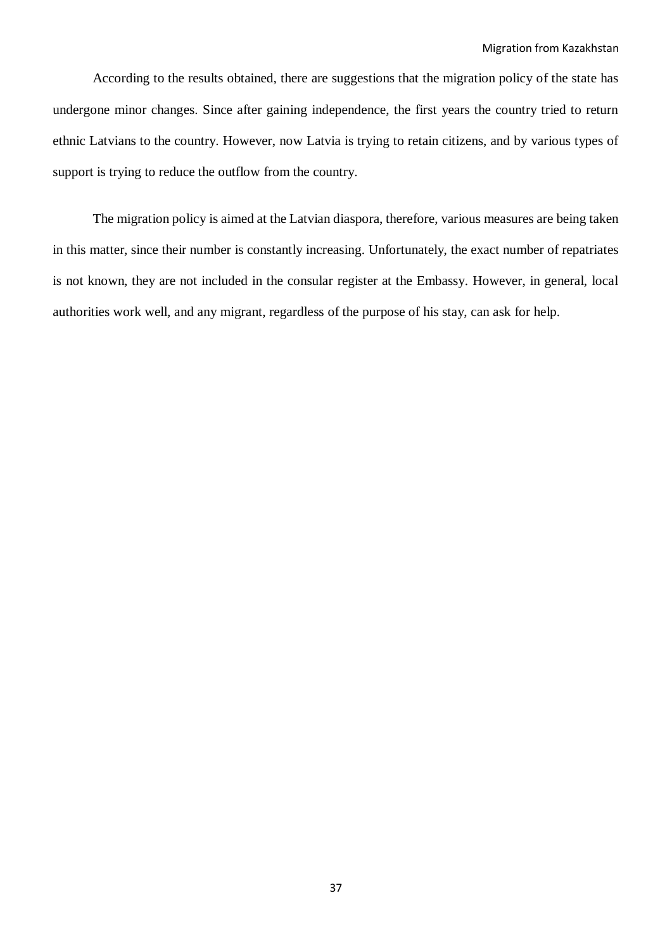According to the results obtained, there are suggestions that the migration policy of the state has undergone minor changes. Since after gaining independence, the first years the country tried to return ethnic Latvians to the country. However, now Latvia is trying to retain citizens, and by various types of support is trying to reduce the outflow from the country.

The migration policy is aimed at the Latvian diaspora, therefore, various measures are being taken in this matter, since their number is constantly increasing. Unfortunately, the exact number of repatriates is not known, they are not included in the consular register at the Embassy. However, in general, local authorities work well, and any migrant, regardless of the purpose of his stay, can ask for help.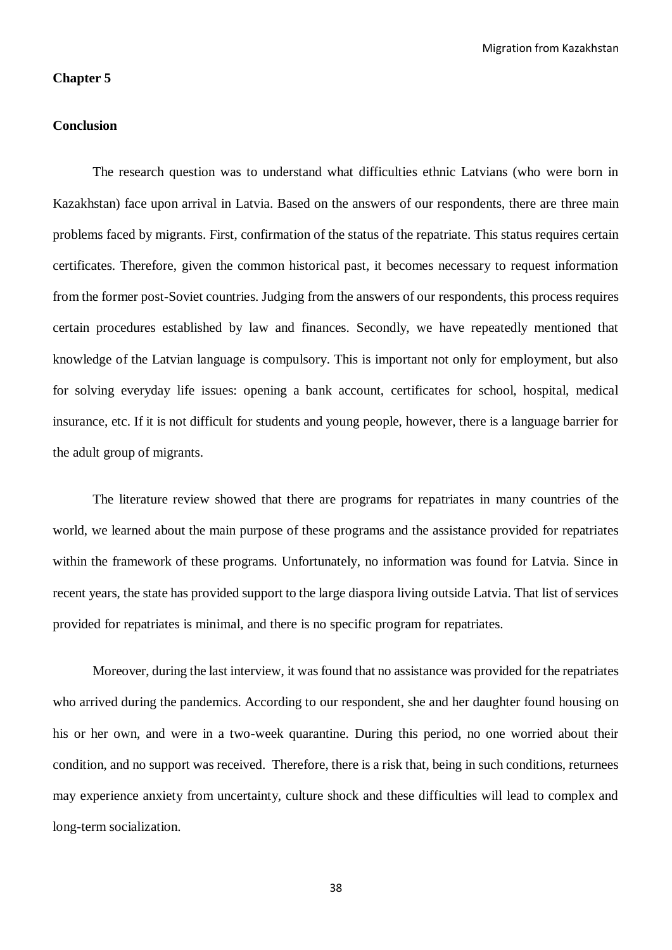#### **Chapter 5**

#### **Conclusion**

The research question was to understand what difficulties ethnic Latvians (who were born in Kazakhstan) face upon arrival in Latvia. Based on the answers of our respondents, there are three main problems faced by migrants. First, confirmation of the status of the repatriate. This status requires certain certificates. Therefore, given the common historical past, it becomes necessary to request information from the former post-Soviet countries. Judging from the answers of our respondents, this process requires certain procedures established by law and finances. Secondly, we have repeatedly mentioned that knowledge of the Latvian language is compulsory. This is important not only for employment, but also for solving everyday life issues: opening a bank account, certificates for school, hospital, medical insurance, etc. If it is not difficult for students and young people, however, there is a language barrier for the adult group of migrants.

The literature review showed that there are programs for repatriates in many countries of the world, we learned about the main purpose of these programs and the assistance provided for repatriates within the framework of these programs. Unfortunately, no information was found for Latvia. Since in recent years, the state has provided support to the large diaspora living outside Latvia. That list of services provided for repatriates is minimal, and there is no specific program for repatriates.

Moreover, during the last interview, it was found that no assistance was provided for the repatriates who arrived during the pandemics. According to our respondent, she and her daughter found housing on his or her own, and were in a two-week quarantine. During this period, no one worried about their condition, and no support was received. Therefore, there is a risk that, being in such conditions, returnees may experience anxiety from uncertainty, culture shock and these difficulties will lead to complex and long-term socialization.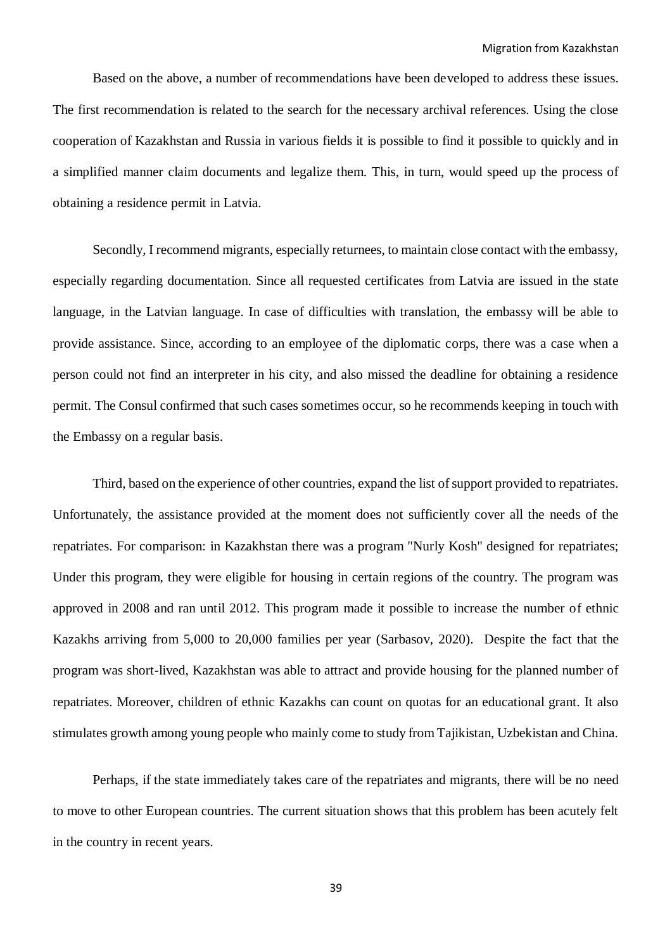Based on the above, a number of recommendations have been developed to address these issues. The first recommendation is related to the search for the necessary archival references. Using the close cooperation of Kazakhstan and Russia in various fields it is possible to find it possible to quickly and in a simplified manner claim documents and legalize them. This, in turn, would speed up the process of obtaining a residence permit in Latvia.

Secondly, I recommend migrants, especially returnees, to maintain close contact with the embassy, especially regarding documentation. Since all requested certificates from Latvia are issued in the state language, in the Latvian language. In case of difficulties with translation, the embassy will be able to provide assistance. Since, according to an employee of the diplomatic corps, there was a case when a person could not find an interpreter in his city, and also missed the deadline for obtaining a residence permit. The Consul confirmed that such cases sometimes occur, so he recommends keeping in touch with the Embassy on a regular basis.

Third, based on the experience of other countries, expand the list of support provided to repatriates. Unfortunately, the assistance provided at the moment does not sufficiently cover all the needs of the repatriates. For comparison: in Kazakhstan there was a program "Nurly Kosh" designed for repatriates; Under this program, they were eligible for housing in certain regions of the country. The program was approved in 2008 and ran until 2012. This program made it possible to increase the number of ethnic Kazakhs arriving from 5,000 to 20,000 families per year (Sarbasov, 2020). Despite the fact that the program was short-lived, Kazakhstan was able to attract and provide housing for the planned number of repatriates. Moreover, children of ethnic Kazakhs can count on quotas for an educational grant. It also stimulates growth among young people who mainly come to study from Tajikistan, Uzbekistan and China.

Perhaps, if the state immediately takes care of the repatriates and migrants, there will be no need to move to other European countries. The current situation shows that this problem has been acutely felt in the country in recent years.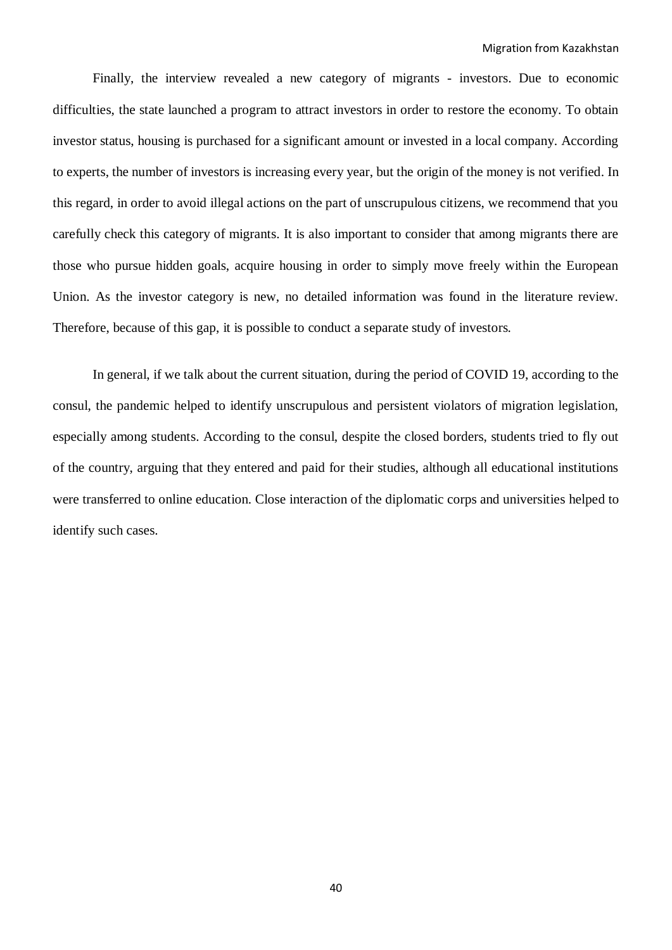Finally, the interview revealed a new category of migrants - investors. Due to economic difficulties, the state launched a program to attract investors in order to restore the economy. To obtain investor status, housing is purchased for a significant amount or invested in a local company. According to experts, the number of investors is increasing every year, but the origin of the money is not verified. In this regard, in order to avoid illegal actions on the part of unscrupulous citizens, we recommend that you carefully check this category of migrants. It is also important to consider that among migrants there are those who pursue hidden goals, acquire housing in order to simply move freely within the European Union. As the investor category is new, no detailed information was found in the literature review. Therefore, because of this gap, it is possible to conduct a separate study of investors.

In general, if we talk about the current situation, during the period of COVID 19, according to the consul, the pandemic helped to identify unscrupulous and persistent violators of migration legislation, especially among students. According to the consul, despite the closed borders, students tried to fly out of the country, arguing that they entered and paid for their studies, although all educational institutions were transferred to online education. Close interaction of the diplomatic corps and universities helped to identify such cases.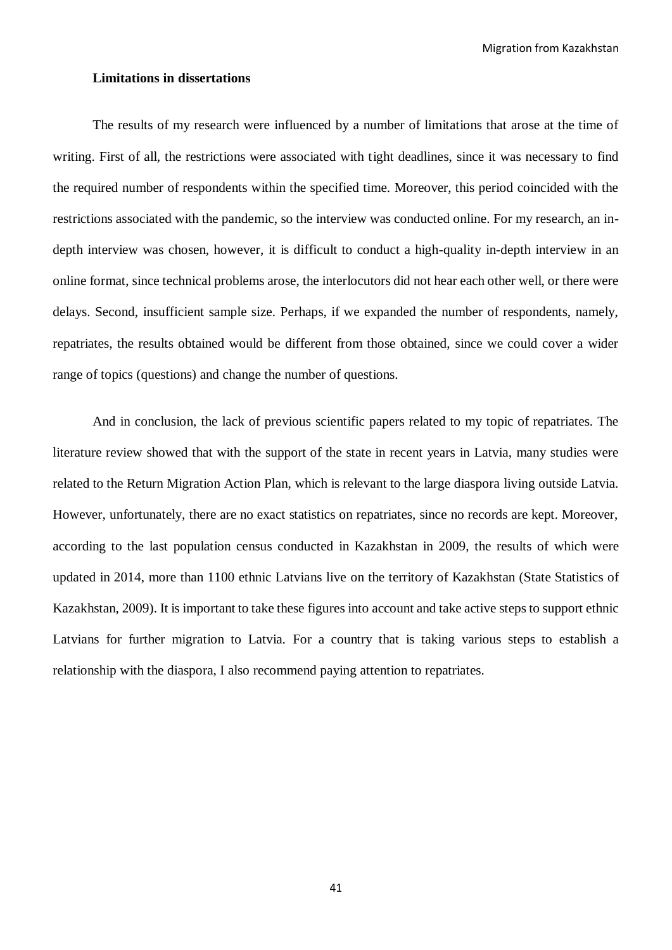Migration from Kazakhstan

#### **Limitations in dissertations**

The results of my research were influenced by a number of limitations that arose at the time of writing. First of all, the restrictions were associated with tight deadlines, since it was necessary to find the required number of respondents within the specified time. Moreover, this period coincided with the restrictions associated with the pandemic, so the interview was conducted online. For my research, an indepth interview was chosen, however, it is difficult to conduct a high-quality in-depth interview in an online format, since technical problems arose, the interlocutors did not hear each other well, or there were delays. Second, insufficient sample size. Perhaps, if we expanded the number of respondents, namely, repatriates, the results obtained would be different from those obtained, since we could cover a wider range of topics (questions) and change the number of questions.

And in conclusion, the lack of previous scientific papers related to my topic of repatriates. The literature review showed that with the support of the state in recent years in Latvia, many studies were related to the Return Migration Action Plan, which is relevant to the large diaspora living outside Latvia. However, unfortunately, there are no exact statistics on repatriates, since no records are kept. Moreover, according to the last population census conducted in Kazakhstan in 2009, the results of which were updated in 2014, more than 1100 ethnic Latvians live on the territory of Kazakhstan (State Statistics of Kazakhstan, 2009). It is important to take these figures into account and take active steps to support ethnic Latvians for further migration to Latvia. For a country that is taking various steps to establish a relationship with the diaspora, I also recommend paying attention to repatriates.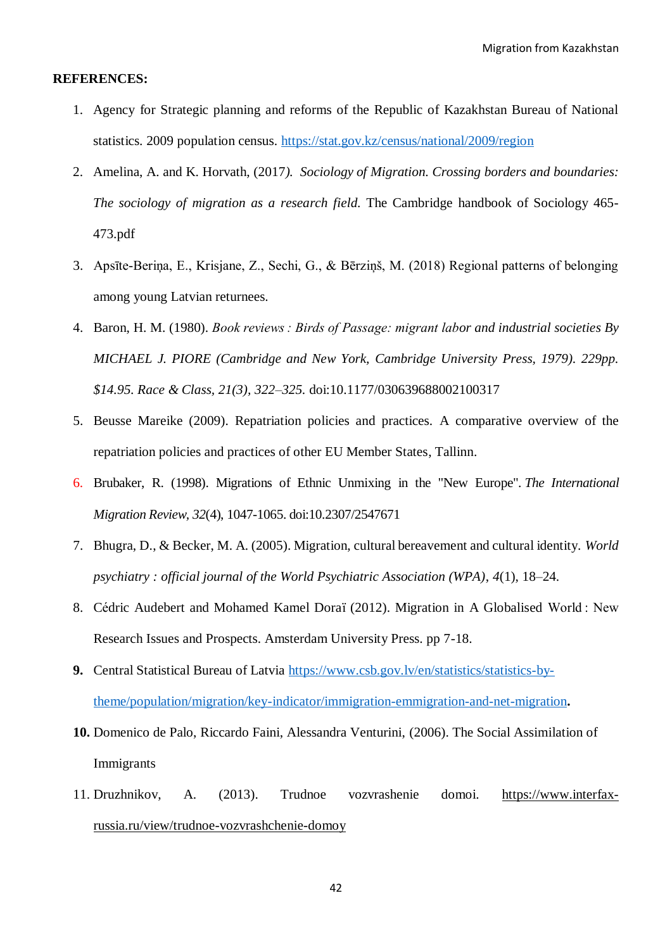#### **REFERENCES:**

- 1. Agency for Strategic planning and reforms of the Republic of Kazakhstan Bureau of National statistics. 2009 population census.<https://stat.gov.kz/census/national/2009/region>
- 2. Amelina, A. and K. Horvath, (2017*). Sociology of Migration. Crossing borders and boundaries: The sociology of migration as a research field.* The Cambridge handbook of Sociology 465- 473.pdf
- 3. Apsīte-Beriņa, E., Krisjane, Z., Sechi, G., & Bērziņš, M. (2018) Regional patterns of belonging among young Latvian returnees.
- 4. Baron, H. M. (1980). *Book reviews : Birds of Passage: migrant labor and industrial societies By MICHAEL J. PIORE (Cambridge and New York, Cambridge University Press, 1979). 229pp. \$14.95. Race & Class, 21(3), 322–325.* doi:10.1177/030639688002100317
- 5. Beusse Mareike (2009). Repatriation policies and practices. A comparative overview of the repatriation policies and practices of other EU Member States, Tallinn.
- 6. Brubaker, R. (1998). Migrations of Ethnic Unmixing in the "New Europe". *The International Migration Review, 32*(4), 1047-1065. doi:10.2307/2547671
- 7. Bhugra, D., & Becker, M. A. (2005). Migration, cultural bereavement and cultural identity. *World psychiatry : official journal of the World Psychiatric Association (WPA)*, *4*(1), 18–24.
- 8. Cédric Audebert and Mohamed Kamel Doraï (2012). Migration in A Globalised World : New Research Issues and Prospects. Amsterdam University Press. pp 7-18.
- **9.** Central Statistical Bureau of Latvia [https://www.csb.gov.lv/en/statistics/statistics-by](https://www.csb.gov.lv/en/statistics/statistics-by-theme/population/migration/key-indicator/immigration-emmigration-and-net-migration)[theme/population/migration/key-indicator/immigration-emmigration-and-net-migration](https://www.csb.gov.lv/en/statistics/statistics-by-theme/population/migration/key-indicator/immigration-emmigration-and-net-migration)**.**
- **10.** Domenico de Palo, Riccardo Faini, Alessandra Venturini, (2006). The Social Assimilation of Immigrants
- 11. Druzhnikov, A. (2013). Trudnoe vozvrashenie domoi. [https://www.interfax](https://www.interfax-russia.ru/view/trudnoe-vozvrashchenie-domoy)[russia.ru/view/trudnoe-vozvrashchenie-domoy](https://www.interfax-russia.ru/view/trudnoe-vozvrashchenie-domoy)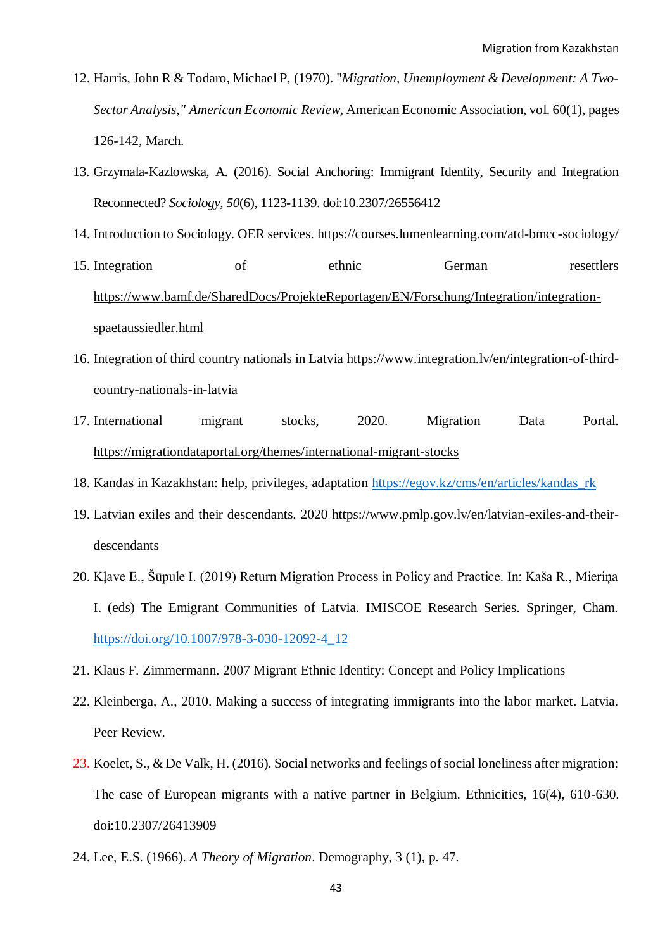- 12. Harris, John R & Todaro, Michael P, (1970). "*[Migration, Unemployment & Development: A Two-](https://ideas.repec.org/a/aea/aecrev/v60y1970i1p126-42.html)[Sector Analysis,](https://ideas.repec.org/a/aea/aecrev/v60y1970i1p126-42.html)" [American Economic Review,](https://ideas.repec.org/s/aea/aecrev.html)* American Economic Association, vol. 60(1), pages 126-142, March.
- 13. Grzymala-Kazlowska, A. (2016). Social Anchoring: Immigrant Identity, Security and Integration Reconnected? *Sociology, 50*(6), 1123-1139. doi:10.2307/26556412
- 14. Introduction to Sociology. OER services. https://courses.lumenlearning.com/atd-bmcc-sociology/
- 15. Integration of ethnic German resettlers [https://www.bamf.de/SharedDocs/ProjekteReportagen/EN/Forschung/Integration/integration](https://www.bamf.de/SharedDocs/ProjekteReportagen/EN/Forschung/Integration/integration-spaetaussiedler.html)[spaetaussiedler.html](https://www.bamf.de/SharedDocs/ProjekteReportagen/EN/Forschung/Integration/integration-spaetaussiedler.html)
- 16. Integration of third country nationals in Latvia [https://www.integration.lv/en/integration-of-third](https://www.integration.lv/en/integration-of-third-country-nationals-in-latvia)[country-nationals-in-latvia](https://www.integration.lv/en/integration-of-third-country-nationals-in-latvia)
- 17. International migrant stocks, 2020. Migration Data Portal. <https://migrationdataportal.org/themes/international-migrant-stocks>
- 18. Kandas in Kazakhstan: help, privileges, adaptation [https://egov.kz/cms/en/articles/kandas\\_rk](https://egov.kz/cms/en/articles/kandas_rk)
- 19. Latvian exiles and their descendants. 2020 https://www.pmlp.gov.lv/en/latvian-exiles-and-theirdescendants
- 20. Kļave E., Šūpule I. (2019) Return Migration Process in Policy and Practice. In: Kaša R., Mieriņa I. (eds) The Emigrant Communities of Latvia. IMISCOE Research Series. Springer, Cham. [https://doi.org/10.1007/978-3-030-12092-4\\_12](https://doi.org/10.1007/978-3-030-12092-4_12)
- 21. Klaus F. Zimmermann. 2007 Migrant Ethnic Identity: Concept and Policy Implications
- 22. Kleinberga, A., 2010. Making a success of integrating immigrants into the labor market. Latvia. Peer Review.
- 23. Koelet, S., & De Valk, H. (2016). Social networks and feelings of social loneliness after migration: The case of European migrants with a native partner in Belgium. Ethnicities, 16(4), 610-630. doi:10.2307/26413909
- 24. Lee, E.S. (1966). *A Theory of Migration*. Demography, 3 (1), p. 47.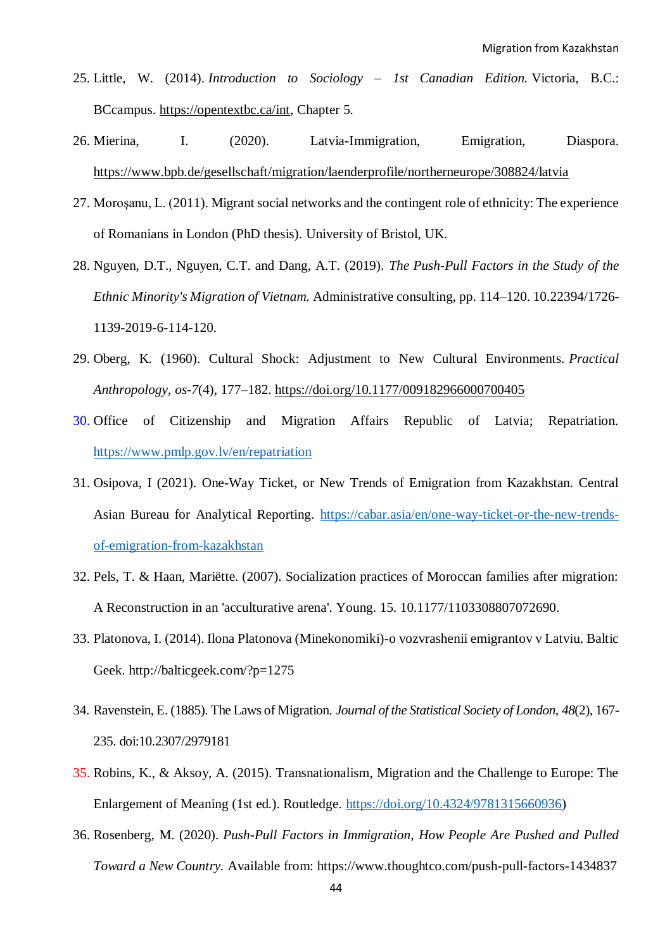- 25. Little, W. (2014). *Introduction to Sociology – 1st Canadian Edition.* Victoria, B.C.: BCcampus. [https://opentextbc.ca/int,](https://opentextbc.ca/int) Chapter 5.
- 26. Mierina, I. (2020). Latvia-Immigration, Emigration, Diaspora. <https://www.bpb.de/gesellschaft/migration/laenderprofile/northerneurope/308824/latvia>
- 27. Moroşanu, L. (2011). Migrant social networks and the contingent role of ethnicity: The experience of Romanians in London (PhD thesis). University of Bristol, UK.
- 28. Nguyen, D.T., Nguyen, C.T. and Dang, A.T. (2019). *The Push-Pull Factors in the Study of the Ethnic Minority's Migration of Vietnam.* Administrative consulting, pp. 114–120. 10.22394/1726- 1139-2019-6-114-120.
- 29. Oberg, K. (1960). Cultural Shock: Adjustment to New Cultural Environments. *Practical Anthropology*, *os*-*7*(4), 177–182. <https://doi.org/10.1177/009182966000700405>
- 30. Office of Citizenship and Migration Affairs Republic of Latvia; Repatriation. <https://www.pmlp.gov.lv/en/repatriation>
- 31. Osipova, I (2021). One-Way Ticket, or New Trends of Emigration from Kazakhstan. Central Asian Bureau for Analytical Reporting. [https://cabar.asia/en/one-way-ticket-or-the-new-trends](https://cabar.asia/en/one-way-ticket-or-the-new-trends-of-emigration-from-kazakhstan)[of-emigration-from-kazakhstan](https://cabar.asia/en/one-way-ticket-or-the-new-trends-of-emigration-from-kazakhstan)
- 32. Pels, T. & Haan, Mariëtte. (2007). Socialization practices of Moroccan families after migration: A Reconstruction in an 'acculturative arena'. Young. 15. 10.1177/1103308807072690.
- 33. Platonova, I. (2014). Ilona Platonova (Minekonomiki)-o vozvrashenii emigrantov v Latviu. Baltic Geek. http://balticgeek.com/?p=1275
- 34. Ravenstein, E. (1885). The Laws of Migration. *Journal of the Statistical Society of London, 48*(2), 167- 235. doi:10.2307/2979181
- 35. Robins, K., & Aksoy, A. (2015). Transnationalism, Migration and the Challenge to Europe: The Enlargement of Meaning (1st ed.). Routledge. [https://doi.org/10.4324/9781315660936\)](https://doi.org/10.4324/9781315660936)
- 36. [Rosenberg,](https://www.thoughtco.com/matt-rosenberg-1433401) M. (2020). *Push-Pull Factors in Immigration, How People Are Pushed and Pulled Toward a New Country.* Available from:<https://www.thoughtco.com/push-pull-factors-1434837>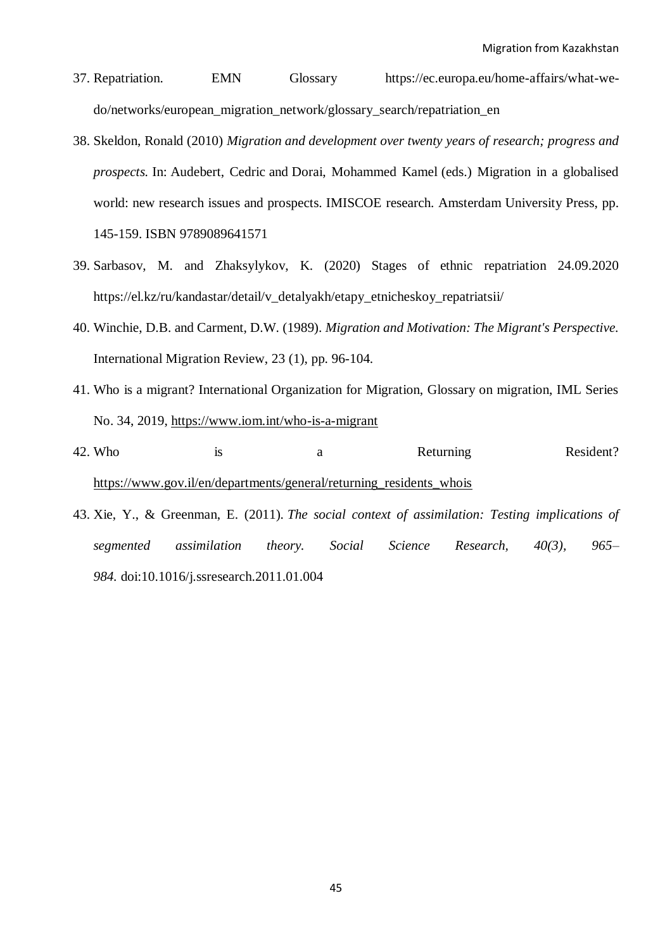- 37. Repatriation. EMN Glossary https://ec.europa.eu/home-affairs/what-wedo/networks/european\_migration\_network/glossary\_search/repatriation\_en
- 38. Skeldon, Ronald (2010) *Migration and development over twenty years of research; progress and prospects.* In: Audebert, Cedric and Dorai, Mohammed Kamel (eds.) Migration in a globalised world: new research issues and prospects. IMISCOE research. Amsterdam University Press, pp. 145-159. ISBN 9789089641571
- 39. Sarbasov, M. and Zhaksylykov, K. (2020) Stages of ethnic repatriation 24.09.2020 https://el.kz/ru/kandastar/detail/v\_detalyakh/etapy\_etnicheskoy\_repatriatsii/
- 40. Winchie, D.B. and Carment, D.W. (1989). *Migration and Motivation: The Migrant's Perspective.* International Migration Review, 23 (1), pp. 96-104.
- 41. Who is a migrant? International Organization for Migration, Glossary on migration, IML Series No. 34, 2019,<https://www.iom.int/who-is-a-migrant>
- 42. Who is a Returning Resident? [https://www.gov.il/en/departments/general/returning\\_residents\\_whois](https://www.gov.il/en/departments/general/returning_residents_whois)
- 43. Xie, Y., & Greenman, E. (2011). *The social context of assimilation: Testing implications of segmented assimilation theory. Social Science Research, 40(3), 965– 984.* doi:10.1016/j.ssresearch.2011.01.004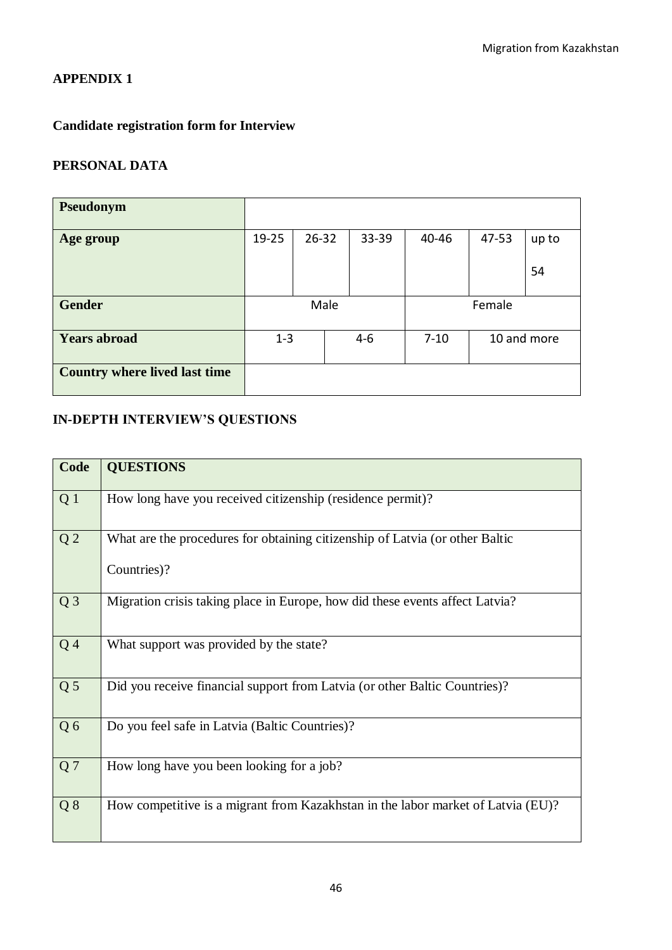## **APPENDIX 1**

# **Candidate registration form for Interview**

# **PERSONAL DATA**

| <b>Pseudonym</b>                     |         |           |         |          |       |             |
|--------------------------------------|---------|-----------|---------|----------|-------|-------------|
| Age group                            | 19-25   | $26 - 32$ | 33-39   | 40-46    | 47-53 | up to       |
|                                      |         |           |         |          |       | 54          |
| <b>Gender</b>                        | Male    |           | Female  |          |       |             |
| <b>Years abroad</b>                  | $1 - 3$ |           | $4 - 6$ | $7 - 10$ |       | 10 and more |
| <b>Country where lived last time</b> |         |           |         |          |       |             |

# **IN-DEPTH INTERVIEW'S QUESTIONS**

| Code           | <b>QUESTIONS</b>                                                                            |
|----------------|---------------------------------------------------------------------------------------------|
| Q <sub>1</sub> | How long have you received citizenship (residence permit)?                                  |
| Q <sub>2</sub> | What are the procedures for obtaining citizenship of Latvia (or other Baltic<br>Countries)? |
| $Q_3$          | Migration crisis taking place in Europe, how did these events affect Latvia?                |
| Q <sub>4</sub> | What support was provided by the state?                                                     |
| Q <sub>5</sub> | Did you receive financial support from Latvia (or other Baltic Countries)?                  |
| Q6             | Do you feel safe in Latvia (Baltic Countries)?                                              |
| Q <sub>7</sub> | How long have you been looking for a job?                                                   |
| Q8             | How competitive is a migrant from Kazakhstan in the labor market of Latvia (EU)?            |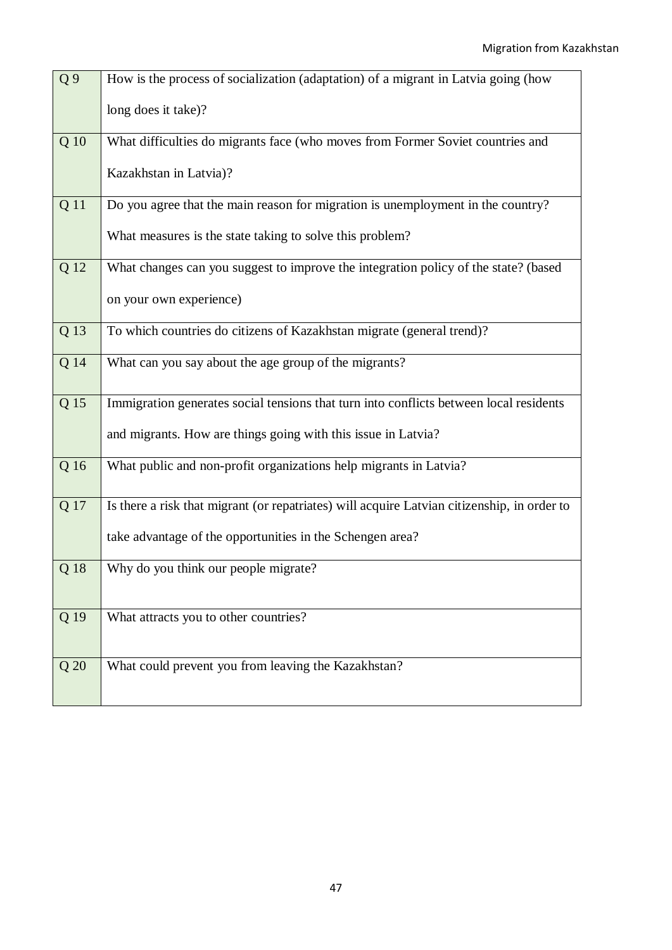| Q <sub>9</sub> | How is the process of socialization (adaptation) of a migrant in Latvia going (how          |
|----------------|---------------------------------------------------------------------------------------------|
|                | long does it take)?                                                                         |
| Q 10           | What difficulties do migrants face (who moves from Former Soviet countries and              |
|                | Kazakhstan in Latvia)?                                                                      |
| Q 11           | Do you agree that the main reason for migration is unemployment in the country?             |
|                | What measures is the state taking to solve this problem?                                    |
| Q 12           | What changes can you suggest to improve the integration policy of the state? (based         |
|                | on your own experience)                                                                     |
| Q 13           | To which countries do citizens of Kazakhstan migrate (general trend)?                       |
| Q 14           | What can you say about the age group of the migrants?                                       |
| Q 15           | Immigration generates social tensions that turn into conflicts between local residents      |
|                | and migrants. How are things going with this issue in Latvia?                               |
| Q 16           | What public and non-profit organizations help migrants in Latvia?                           |
| Q 17           | Is there a risk that migrant (or repatriates) will acquire Latvian citizenship, in order to |
|                | take advantage of the opportunities in the Schengen area?                                   |
| Q 18           | Why do you think our people migrate?                                                        |
| Q 19           | What attracts you to other countries?                                                       |
|                |                                                                                             |
| Q 20           | What could prevent you from leaving the Kazakhstan?                                         |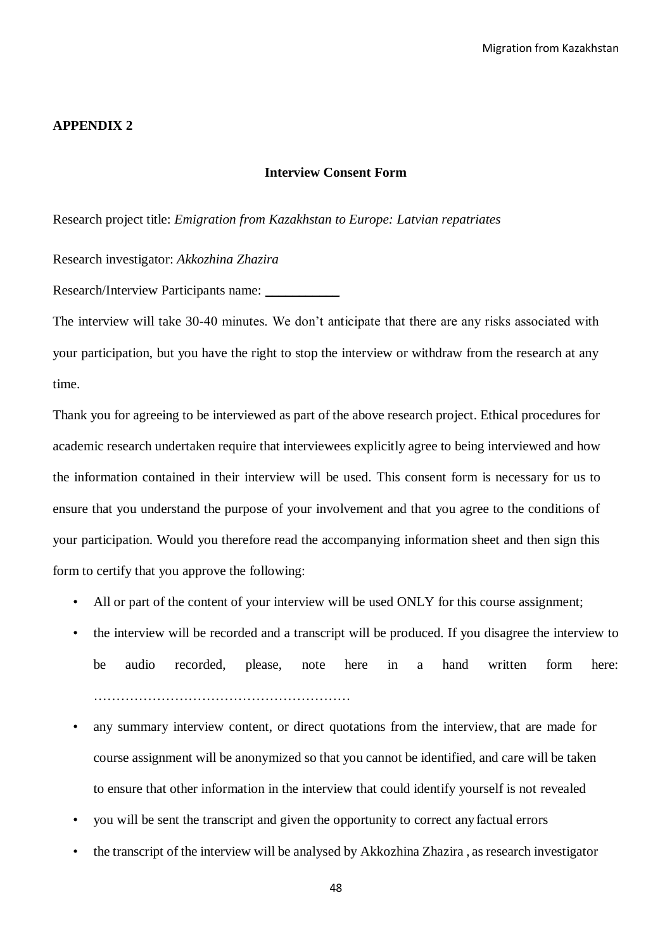#### **APPENDIX 2**

## **Interview Consent Form**

Research project title: *Emigration from Kazakhstan to Europe: Latvian repatriates*

Research investigator: *Akkozhina Zhazira*

Research/Interview Participants name:

The interview will take 30-40 minutes. We don't anticipate that there are any risks associated with your participation, but you have the right to stop the interview or withdraw from the research at any time.

Thank you for agreeing to be interviewed as part of the above research project. Ethical procedures for academic research undertaken require that interviewees explicitly agree to being interviewed and how the information contained in their interview will be used. This consent form is necessary for us to ensure that you understand the purpose of your involvement and that you agree to the conditions of your participation. Would you therefore read the accompanying information sheet and then sign this form to certify that you approve the following:

- All or part of the content of your interview will be used ONLY for this course assignment;
- the interview will be recorded and a transcript will be produced. If you disagree the interview to be audio recorded, please, note here in a hand written form here: …………………………………………………
- any summary interview content, or direct quotations from the interview, that are made for course assignment will be anonymized so that you cannot be identified, and care will be taken to ensure that other information in the interview that could identify yourself is not revealed
- you will be sent the transcript and given the opportunity to correct anyfactual errors
- the transcript of the interview will be analysed by Akkozhina Zhazira , as research investigator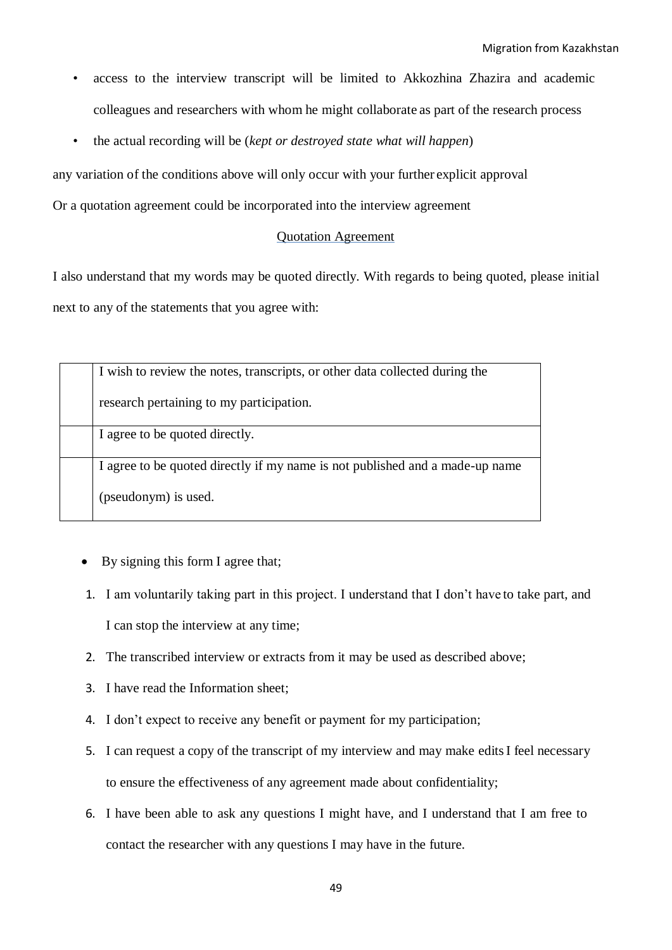- access to the interview transcript will be limited to Akkozhina Zhazira and academic colleagues and researchers with whom he might collaborate as part of the research process
- the actual recording will be (*kept or destroyed state what will happen*)

any variation of the conditions above will only occur with your further explicit approval

Or a quotation agreement could be incorporated into the interview agreement

## Quotation Agreement

I also understand that my words may be quoted directly. With regards to being quoted, please initial next to any of the statements that you agree with:

|  | I wish to review the notes, transcripts, or other data collected during the  |
|--|------------------------------------------------------------------------------|
|  |                                                                              |
|  |                                                                              |
|  | research pertaining to my participation.                                     |
|  |                                                                              |
|  |                                                                              |
|  | I agree to be quoted directly.                                               |
|  |                                                                              |
|  |                                                                              |
|  | I agree to be quoted directly if my name is not published and a made-up name |
|  |                                                                              |
|  |                                                                              |
|  | (pseudonym) is used.                                                         |
|  |                                                                              |
|  |                                                                              |

- By signing this form I agree that;
- 1. I am voluntarily taking part in this project. I understand that I don't have to take part, and I can stop the interview at any time;
- 2. The transcribed interview or extracts from it may be used as described above;
- 3. I have read the Information sheet;
- 4. I don't expect to receive any benefit or payment for my participation;
- 5. I can request a copy of the transcript of my interview and may make editsI feel necessary to ensure the effectiveness of any agreement made about confidentiality;
- 6. I have been able to ask any questions I might have, and I understand that I am free to contact the researcher with any questions I may have in the future.